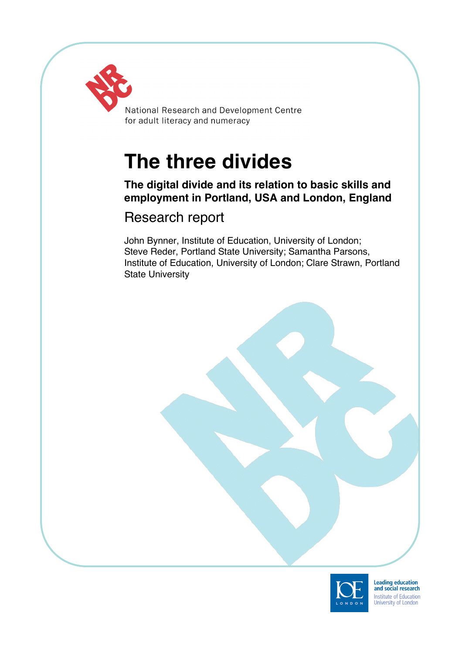

National Research and Development Centre for adult literacy and numeracy

# **The three divides**

# **The digital divide and its relation to basic skills and employment in Portland, USA and London, England**

# Research report

John Bynner, Institute of Education, University of London; Steve Reder, Portland State University; Samantha Parsons, Institute of Education, University of London; Clare Strawn, Portland State University



Leading education<br>and social research Institute of Education<br>University of London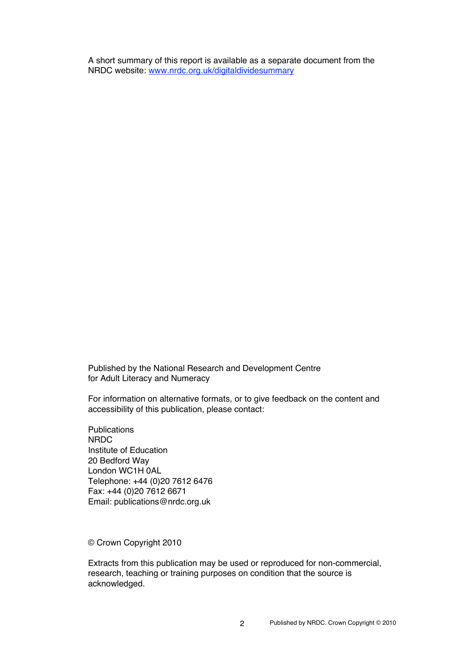A short summary of this report is available as a separate document from the NRDC website: www.nrdc.org.uk/digitaldividesummary

Published by the National Research and Development Centre for Adult Literacy and Numeracy

For information on alternative formats, or to give feedback on the content and accessibility of this publication, please contact:

**Publications** NRDC Institute of Education 20 Bedford Way London WC1H 0AL Telephone: +44 (0)20 7612 6476 Fax: +44 (0)20 7612 6671 Email: publications@nrdc.org.uk

© Crown Copyright 2010

Extracts from this publication may be used or reproduced for non-commercial, research, teaching or training purposes on condition that the source is acknowledged.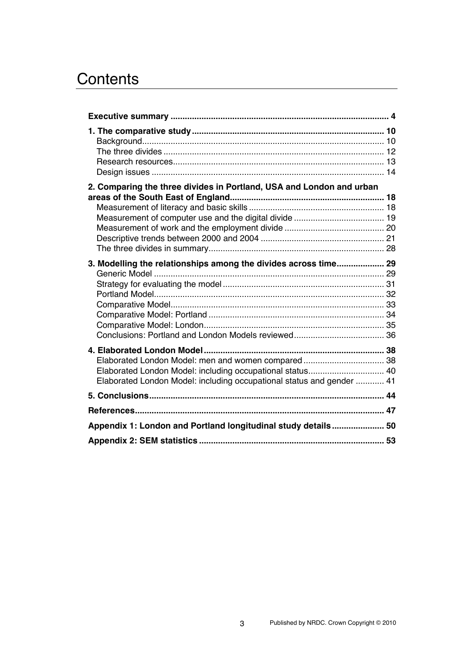# **Contents**

| 2. Comparing the three divides in Portland, USA and London and urban  |  |
|-----------------------------------------------------------------------|--|
|                                                                       |  |
|                                                                       |  |
|                                                                       |  |
|                                                                       |  |
|                                                                       |  |
|                                                                       |  |
| 3. Modelling the relationships among the divides across time 29       |  |
|                                                                       |  |
|                                                                       |  |
|                                                                       |  |
|                                                                       |  |
|                                                                       |  |
|                                                                       |  |
|                                                                       |  |
|                                                                       |  |
| Elaborated London Model: men and women compared 38                    |  |
|                                                                       |  |
| Elaborated London Model: including occupational status and gender  41 |  |
|                                                                       |  |
|                                                                       |  |
|                                                                       |  |
| Appendix 1: London and Portland longitudinal study details 50         |  |
|                                                                       |  |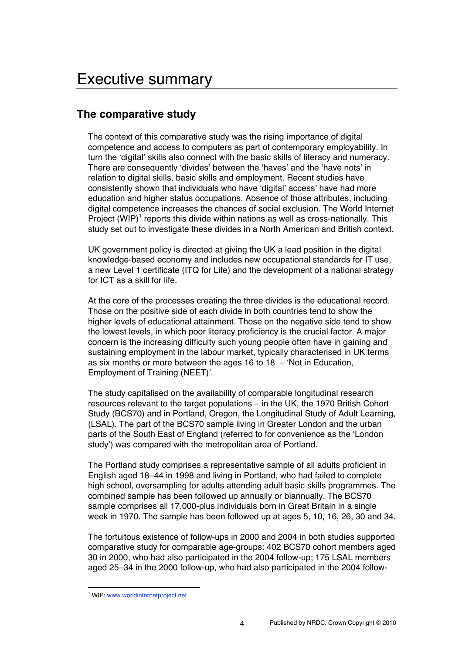# **The comparative study**

The context of this comparative study was the rising importance of digital competence and access to computers as part of contemporary employability. In turn the ʻdigital' skills also connect with the basic skills of literacy and numeracy. There are consequently ʻdivides' between the ʻhaves' and the ʻhave nots' in relation to digital skills, basic skills and employment. Recent studies have consistently shown that individuals who have ʻdigital' access' have had more education and higher status occupations. Absence of those attributes, including digital competence increases the chances of social exclusion. The World Internet Project  $(WIP)^1$  reports this divide within nations as well as cross-nationally. This study set out to investigate these divides in a North American and British context.

UK government policy is directed at giving the UK a lead position in the digital knowledge-based economy and includes new occupational standards for IT use, a new Level 1 certificate (ITQ for Life) and the development of a national strategy for ICT as a skill for life.

At the core of the processes creating the three divides is the educational record. Those on the positive side of each divide in both countries tend to show the higher levels of educational attainment. Those on the negative side tend to show the lowest levels, in which poor literacy proficiency is the crucial factor. A major concern is the increasing difficulty such young people often have in gaining and sustaining employment in the labour market, typically characterised in UK terms as six months or more between the ages 16 to  $18 - 9$  Not in Education, Employment of Training (NEET)'.

The study capitalised on the availability of comparable longitudinal research resources relevant to the target populations – in the UK, the 1970 British Cohort Study (BCS70) and in Portland, Oregon, the Longitudinal Study of Adult Learning, (LSAL). The part of the BCS70 sample living in Greater London and the urban parts of the South East of England (referred to for convenience as the ʻLondon study') was compared with the metropolitan area of Portland.

The Portland study comprises a representative sample of all adults proficient in English aged 18–44 in 1998 and living in Portland, who had failed to complete high school, oversampling for adults attending adult basic skills programmes. The combined sample has been followed up annually or biannually. The BCS70 sample comprises all 17,000-plus individuals born in Great Britain in a single week in 1970. The sample has been followed up at ages 5, 10, 16, 26, 30 and 34.

The fortuitous existence of follow-ups in 2000 and 2004 in both studies supported comparative study for comparable age-groups: 402 BCS70 cohort members aged 30 in 2000, who had also participated in the 2004 follow-up; 175 LSAL members aged 25–34 in the 2000 follow-up, who had also participated in the 2004 follow-

<sup>&</sup>lt;sup>1</sup> WIP: www.worldinternetproject.net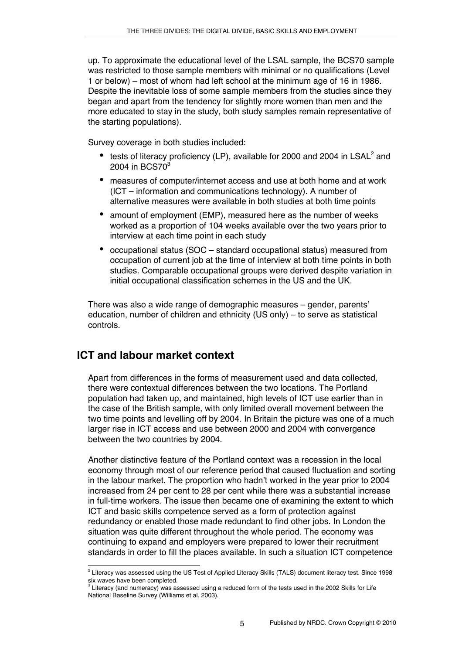up. To approximate the educational level of the LSAL sample, the BCS70 sample was restricted to those sample members with minimal or no qualifications (Level 1 or below) – most of whom had left school at the minimum age of 16 in 1986. Despite the inevitable loss of some sample members from the studies since they began and apart from the tendency for slightly more women than men and the more educated to stay in the study, both study samples remain representative of the starting populations).

Survey coverage in both studies included:

- tests of literacy proficiency (LP), available for 2000 and 2004 in  $LSAL<sup>2</sup>$  and 2004 in BCS70<sup>3</sup>
- measures of computer/internet access and use at both home and at work (ICT – information and communications technology). A number of alternative measures were available in both studies at both time points
- amount of employment (EMP), measured here as the number of weeks worked as a proportion of 104 weeks available over the two years prior to interview at each time point in each study
- occupational status (SOC standard occupational status) measured from occupation of current job at the time of interview at both time points in both studies. Comparable occupational groups were derived despite variation in initial occupational classification schemes in the US and the UK.

There was also a wide range of demographic measures – gender, parents' education, number of children and ethnicity (US only) – to serve as statistical controls.

# **ICT and labour market context**

Apart from differences in the forms of measurement used and data collected, there were contextual differences between the two locations. The Portland population had taken up, and maintained, high levels of ICT use earlier than in the case of the British sample, with only limited overall movement between the two time points and levelling off by 2004. In Britain the picture was one of a much larger rise in ICT access and use between 2000 and 2004 with convergence between the two countries by 2004.

Another distinctive feature of the Portland context was a recession in the local economy through most of our reference period that caused fluctuation and sorting in the labour market. The proportion who hadn't worked in the year prior to 2004 increased from 24 per cent to 28 per cent while there was a substantial increase in full-time workers. The issue then became one of examining the extent to which ICT and basic skills competence served as a form of protection against redundancy or enabled those made redundant to find other jobs. In London the situation was quite different throughout the whole period. The economy was continuing to expand and employers were prepared to lower their recruitment standards in order to fill the places available. In such a situation ICT competence

 $\frac{1}{2}$  $2$  Literacy was assessed using the US Test of Applied Literacy Skills (TALS) document literacy test. Since 1998

six waves have been completed.<br><sup>3</sup> Literacy (and numeracy) was assessed using a reduced form of the tests used in the 2002 Skills for Life National Baseline Survey (Williams et al. 2003).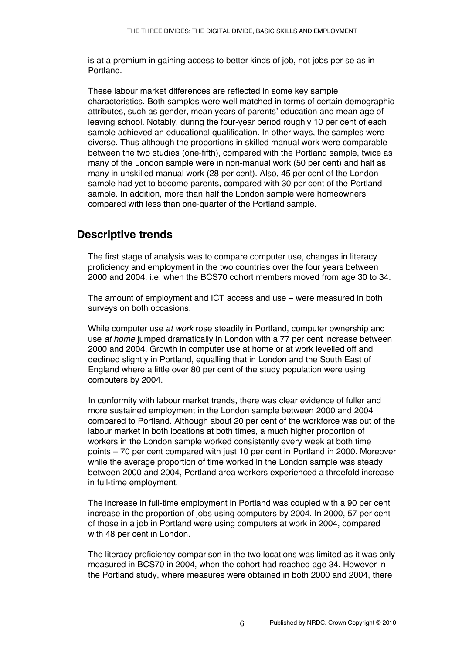is at a premium in gaining access to better kinds of job, not jobs per se as in Portland.

These labour market differences are reflected in some key sample characteristics. Both samples were well matched in terms of certain demographic attributes, such as gender, mean years of parents' education and mean age of leaving school. Notably, during the four-year period roughly 10 per cent of each sample achieved an educational qualification. In other ways, the samples were diverse. Thus although the proportions in skilled manual work were comparable between the two studies (one-fifth), compared with the Portland sample, twice as many of the London sample were in non-manual work (50 per cent) and half as many in unskilled manual work (28 per cent). Also, 45 per cent of the London sample had yet to become parents, compared with 30 per cent of the Portland sample. In addition, more than half the London sample were homeowners compared with less than one-quarter of the Portland sample.

# **Descriptive trends**

The first stage of analysis was to compare computer use, changes in literacy proficiency and employment in the two countries over the four years between 2000 and 2004, i.e. when the BCS70 cohort members moved from age 30 to 34.

The amount of employment and ICT access and use – were measured in both surveys on both occasions.

While computer use *at work* rose steadily in Portland, computer ownership and use *at home* jumped dramatically in London with a 77 per cent increase between 2000 and 2004. Growth in computer use at home or at work levelled off and declined slightly in Portland, equalling that in London and the South East of England where a little over 80 per cent of the study population were using computers by 2004.

In conformity with labour market trends, there was clear evidence of fuller and more sustained employment in the London sample between 2000 and 2004 compared to Portland. Although about 20 per cent of the workforce was out of the labour market in both locations at both times, a much higher proportion of workers in the London sample worked consistently every week at both time points – 70 per cent compared with just 10 per cent in Portland in 2000. Moreover while the average proportion of time worked in the London sample was steady between 2000 and 2004, Portland area workers experienced a threefold increase in full-time employment.

The increase in full-time employment in Portland was coupled with a 90 per cent increase in the proportion of jobs using computers by 2004. In 2000, 57 per cent of those in a job in Portland were using computers at work in 2004, compared with 48 per cent in London.

The literacy proficiency comparison in the two locations was limited as it was only measured in BCS70 in 2004, when the cohort had reached age 34. However in the Portland study, where measures were obtained in both 2000 and 2004, there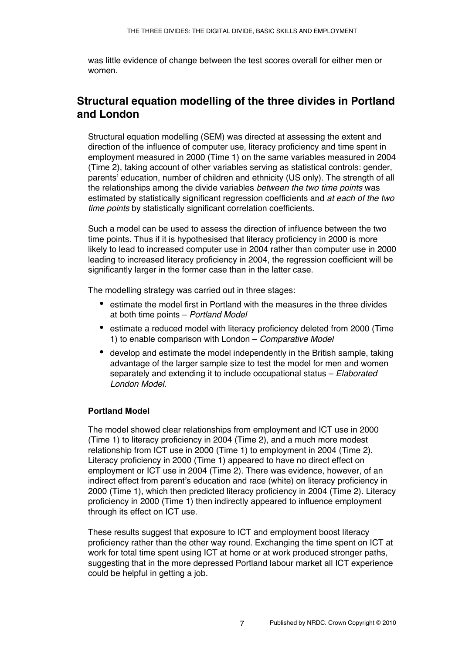was little evidence of change between the test scores overall for either men or women.

# **Structural equation modelling of the three divides in Portland and London**

Structural equation modelling (SEM) was directed at assessing the extent and direction of the influence of computer use, literacy proficiency and time spent in employment measured in 2000 (Time 1) on the same variables measured in 2004 (Time 2), taking account of other variables serving as statistical controls: gender, parents' education, number of children and ethnicity (US only). The strength of all the relationships among the divide variables *between the two time points* was estimated by statistically significant regression coefficients and *at each of the two time points* by statistically significant correlation coefficients.

Such a model can be used to assess the direction of influence between the two time points. Thus if it is hypothesised that literacy proficiency in 2000 is more likely to lead to increased computer use in 2004 rather than computer use in 2000 leading to increased literacy proficiency in 2004, the regression coefficient will be significantly larger in the former case than in the latter case.

The modelling strategy was carried out in three stages:

- estimate the model first in Portland with the measures in the three divides at both time points – *Portland Model*
- estimate a reduced model with literacy proficiency deleted from 2000 (Time 1) to enable comparison with London – *Comparative Model*
- develop and estimate the model independently in the British sample, taking advantage of the larger sample size to test the model for men and women separately and extending it to include occupational status – *Elaborated London Model.*

## **Portland Model**

The model showed clear relationships from employment and ICT use in 2000 (Time 1) to literacy proficiency in 2004 (Time 2), and a much more modest relationship from ICT use in 2000 (Time 1) to employment in 2004 (Time 2). Literacy proficiency in 2000 (Time 1) appeared to have no direct effect on employment or ICT use in 2004 (Time 2). There was evidence, however, of an indirect effect from parent's education and race (white) on literacy proficiency in 2000 (Time 1), which then predicted literacy proficiency in 2004 (Time 2). Literacy proficiency in 2000 (Time 1) then indirectly appeared to influence employment through its effect on ICT use.

These results suggest that exposure to ICT and employment boost literacy proficiency rather than the other way round. Exchanging the time spent on ICT at work for total time spent using ICT at home or at work produced stronger paths, suggesting that in the more depressed Portland labour market all ICT experience could be helpful in getting a job.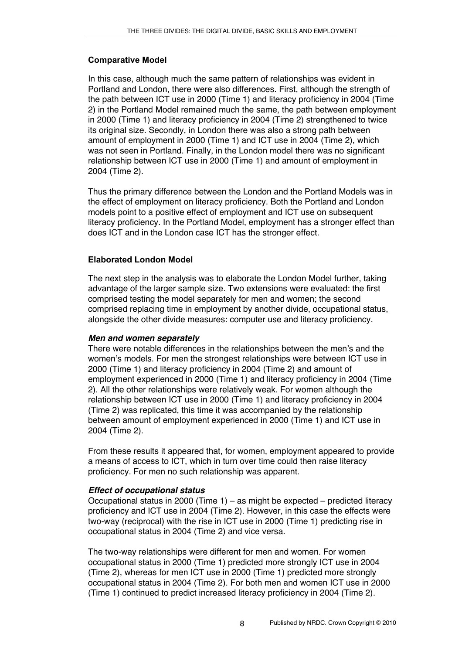## **Comparative Model**

In this case, although much the same pattern of relationships was evident in Portland and London, there were also differences. First, although the strength of the path between ICT use in 2000 (Time 1) and literacy proficiency in 2004 (Time 2) in the Portland Model remained much the same, the path between employment in 2000 (Time 1) and literacy proficiency in 2004 (Time 2) strengthened to twice its original size. Secondly, in London there was also a strong path between amount of employment in 2000 (Time 1) and ICT use in 2004 (Time 2), which was not seen in Portland. Finally, in the London model there was no significant relationship between ICT use in 2000 (Time 1) and amount of employment in 2004 (Time 2).

Thus the primary difference between the London and the Portland Models was in the effect of employment on literacy proficiency. Both the Portland and London models point to a positive effect of employment and ICT use on subsequent literacy proficiency. In the Portland Model, employment has a stronger effect than does ICT and in the London case ICT has the stronger effect.

## **Elaborated London Model**

The next step in the analysis was to elaborate the London Model further, taking advantage of the larger sample size. Two extensions were evaluated: the first comprised testing the model separately for men and women; the second comprised replacing time in employment by another divide, occupational status, alongside the other divide measures: computer use and literacy proficiency.

## *Men and women separately*

There were notable differences in the relationships between the men's and the women's models. For men the strongest relationships were between ICT use in 2000 (Time 1) and literacy proficiency in 2004 (Time 2) and amount of employment experienced in 2000 (Time 1) and literacy proficiency in 2004 (Time 2). All the other relationships were relatively weak. For women although the relationship between ICT use in 2000 (Time 1) and literacy proficiency in 2004 (Time 2) was replicated, this time it was accompanied by the relationship between amount of employment experienced in 2000 (Time 1) and ICT use in 2004 (Time 2).

From these results it appeared that, for women, employment appeared to provide a means of access to ICT, which in turn over time could then raise literacy proficiency. For men no such relationship was apparent.

## *Effect of occupational status*

Occupational status in 2000 (Time 1) – as might be expected – predicted literacy proficiency and ICT use in 2004 (Time 2). However, in this case the effects were two-way (reciprocal) with the rise in ICT use in 2000 (Time 1) predicting rise in occupational status in 2004 (Time 2) and vice versa.

The two-way relationships were different for men and women. For women occupational status in 2000 (Time 1) predicted more strongly ICT use in 2004 (Time 2), whereas for men ICT use in 2000 (Time 1) predicted more strongly occupational status in 2004 (Time 2). For both men and women ICT use in 2000 (Time 1) continued to predict increased literacy proficiency in 2004 (Time 2).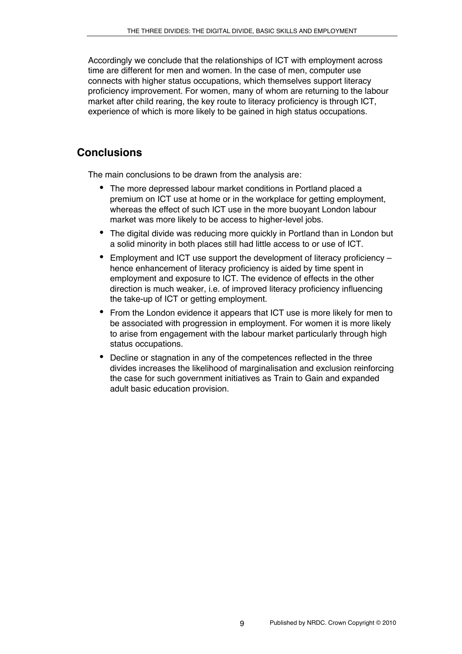Accordingly we conclude that the relationships of ICT with employment across time are different for men and women. In the case of men, computer use connects with higher status occupations, which themselves support literacy proficiency improvement. For women, many of whom are returning to the labour market after child rearing, the key route to literacy proficiency is through ICT, experience of which is more likely to be gained in high status occupations.

# **Conclusions**

The main conclusions to be drawn from the analysis are:

- The more depressed labour market conditions in Portland placed a premium on ICT use at home or in the workplace for getting employment, whereas the effect of such ICT use in the more buoyant London labour market was more likely to be access to higher-level jobs.
- The digital divide was reducing more quickly in Portland than in London but a solid minority in both places still had little access to or use of ICT.
- Employment and ICT use support the development of literacy proficiency hence enhancement of literacy proficiency is aided by time spent in employment and exposure to ICT. The evidence of effects in the other direction is much weaker, i.e. of improved literacy proficiency influencing the take-up of ICT or getting employment.
- From the London evidence it appears that ICT use is more likely for men to be associated with progression in employment. For women it is more likely to arise from engagement with the labour market particularly through high status occupations.
- Decline or stagnation in any of the competences reflected in the three divides increases the likelihood of marginalisation and exclusion reinforcing the case for such government initiatives as Train to Gain and expanded adult basic education provision.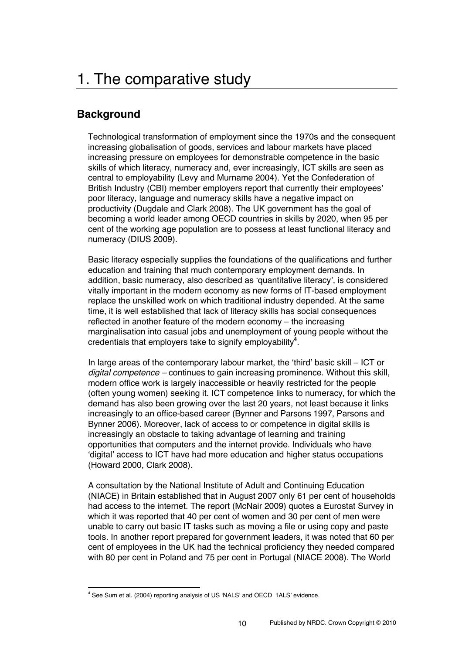# 1. The comparative study

# **Background**

Technological transformation of employment since the 1970s and the consequent increasing globalisation of goods, services and labour markets have placed increasing pressure on employees for demonstrable competence in the basic skills of which literacy, numeracy and, ever increasingly, ICT skills are seen as central to employability (Levy and Murname 2004). Yet the Confederation of British Industry (CBI) member employers report that currently their employees' poor literacy, language and numeracy skills have a negative impact on productivity (Dugdale and Clark 2008). The UK government has the goal of becoming a world leader among OECD countries in skills by 2020, when 95 per cent of the working age population are to possess at least functional literacy and numeracy (DIUS 2009).

Basic literacy especially supplies the foundations of the qualifications and further education and training that much contemporary employment demands. In addition, basic numeracy, also described as ʻquantitative literacy', is considered vitally important in the modern economy as new forms of IT-based employment replace the unskilled work on which traditional industry depended. At the same time, it is well established that lack of literacy skills has social consequences reflected in another feature of the modern economy – the increasing marginalisation into casual jobs and unemployment of young people without the credentials that employers take to signify employability**<sup>4</sup>** .

In large areas of the contemporary labour market, the ʻthird' basic skill – ICT or *digital competence –* continues to gain increasing prominence. Without this skill, modern office work is largely inaccessible or heavily restricted for the people (often young women) seeking it. ICT competence links to numeracy, for which the demand has also been growing over the last 20 years, not least because it links increasingly to an office-based career (Bynner and Parsons 1997, Parsons and Bynner 2006). Moreover, lack of access to or competence in digital skills is increasingly an obstacle to taking advantage of learning and training opportunities that computers and the internet provide. Individuals who have ʻdigital' access to ICT have had more education and higher status occupations (Howard 2000, Clark 2008).

A consultation by the National Institute of Adult and Continuing Education (NIACE) in Britain established that in August 2007 only 61 per cent of households had access to the internet. The report (McNair 2009) quotes a Eurostat Survey in which it was reported that 40 per cent of women and 30 per cent of men were unable to carry out basic IT tasks such as moving a file or using copy and paste tools. In another report prepared for government leaders, it was noted that 60 per cent of employees in the UK had the technical proficiency they needed compared with 80 per cent in Poland and 75 per cent in Portugal (NIACE 2008). The World

 $\frac{1}{4}$ <sup>4</sup> See Sum et al. (2004) reporting analysis of US 'NALS' and OECD 'IALS' evidence.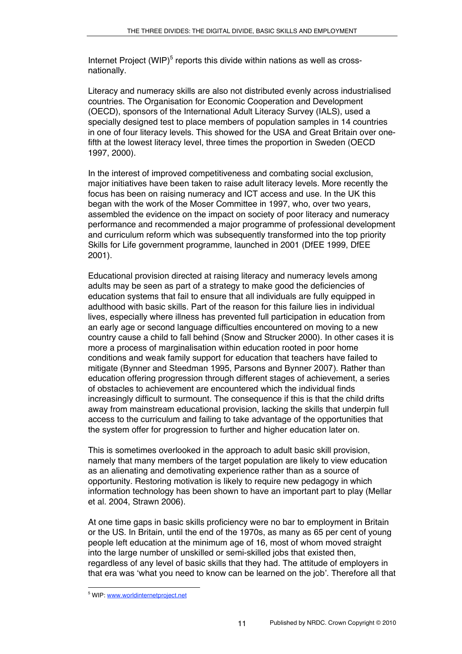Internet Project (WIP)<sup>5</sup> reports this divide within nations as well as crossnationally.

Literacy and numeracy skills are also not distributed evenly across industrialised countries. The Organisation for Economic Cooperation and Development (OECD), sponsors of the International Adult Literacy Survey (IALS), used a specially designed test to place members of population samples in 14 countries in one of four literacy levels. This showed for the USA and Great Britain over onefifth at the lowest literacy level, three times the proportion in Sweden (OECD 1997, 2000).

In the interest of improved competitiveness and combating social exclusion, major initiatives have been taken to raise adult literacy levels. More recently the focus has been on raising numeracy and ICT access and use. In the UK this began with the work of the Moser Committee in 1997, who, over two years, assembled the evidence on the impact on society of poor literacy and numeracy performance and recommended a major programme of professional development and curriculum reform which was subsequently transformed into the top priority Skills for Life government programme, launched in 2001 (DfEE 1999, DfEE 2001).

Educational provision directed at raising literacy and numeracy levels among adults may be seen as part of a strategy to make good the deficiencies of education systems that fail to ensure that all individuals are fully equipped in adulthood with basic skills. Part of the reason for this failure lies in individual lives, especially where illness has prevented full participation in education from an early age or second language difficulties encountered on moving to a new country cause a child to fall behind (Snow and Strucker 2000). In other cases it is more a process of marginalisation within education rooted in poor home conditions and weak family support for education that teachers have failed to mitigate (Bynner and Steedman 1995, Parsons and Bynner 2007). Rather than education offering progression through different stages of achievement, a series of obstacles to achievement are encountered which the individual finds increasingly difficult to surmount. The consequence if this is that the child drifts away from mainstream educational provision, lacking the skills that underpin full access to the curriculum and failing to take advantage of the opportunities that the system offer for progression to further and higher education later on.

This is sometimes overlooked in the approach to adult basic skill provision, namely that many members of the target population are likely to view education as an alienating and demotivating experience rather than as a source of opportunity. Restoring motivation is likely to require new pedagogy in which information technology has been shown to have an important part to play (Mellar et al. 2004, Strawn 2006).

At one time gaps in basic skills proficiency were no bar to employment in Britain or the US. In Britain, until the end of the 1970s, as many as 65 per cent of young people left education at the minimum age of 16, most of whom moved straight into the large number of unskilled or semi-skilled jobs that existed then, regardless of any level of basic skills that they had. The attitude of employers in that era was ʻwhat you need to know can be learned on the job'. Therefore all that

<sup>-&</sup>lt;br>5 WIP: www.worldinternetproject.net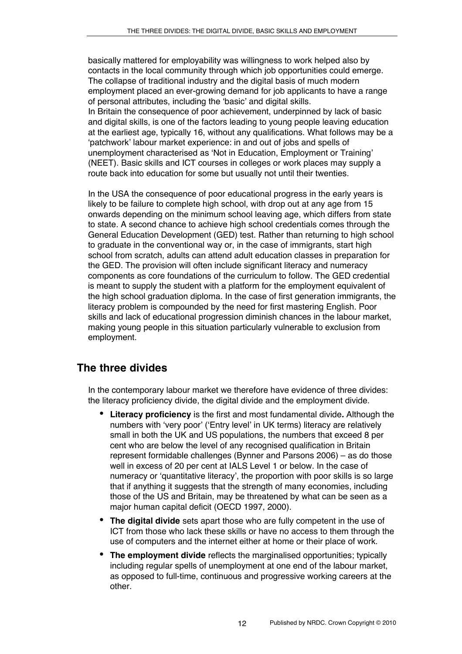basically mattered for employability was willingness to work helped also by contacts in the local community through which job opportunities could emerge. The collapse of traditional industry and the digital basis of much modern employment placed an ever-growing demand for job applicants to have a range of personal attributes, including the ʻbasic' and digital skills. In Britain the consequence of poor achievement, underpinned by lack of basic and digital skills, is one of the factors leading to young people leaving education at the earliest age, typically 16, without any qualifications. What follows may be a ʻpatchwork' labour market experience: in and out of jobs and spells of unemployment characterised as ʻNot in Education, Employment or Training' (NEET). Basic skills and ICT courses in colleges or work places may supply a route back into education for some but usually not until their twenties.

In the USA the consequence of poor educational progress in the early years is likely to be failure to complete high school, with drop out at any age from 15 onwards depending on the minimum school leaving age, which differs from state to state. A second chance to achieve high school credentials comes through the General Education Development (GED) test. Rather than returning to high school to graduate in the conventional way or, in the case of immigrants, start high school from scratch, adults can attend adult education classes in preparation for the GED. The provision will often include significant literacy and numeracy components as core foundations of the curriculum to follow. The GED credential is meant to supply the student with a platform for the employment equivalent of the high school graduation diploma. In the case of first generation immigrants, the literacy problem is compounded by the need for first mastering English. Poor skills and lack of educational progression diminish chances in the labour market, making young people in this situation particularly vulnerable to exclusion from employment.

# **The three divides**

In the contemporary labour market we therefore have evidence of three divides: the literacy proficiency divide, the digital divide and the employment divide.

- **Literacy proficiency** is the first and most fundamental divide*.* Although the numbers with ʻvery poor' (ʻEntry level' in UK terms) literacy are relatively small in both the UK and US populations, the numbers that exceed 8 per cent who are below the level of any recognised qualification in Britain represent formidable challenges (Bynner and Parsons 2006) – as do those well in excess of 20 per cent at IALS Level 1 or below. In the case of numeracy or ʻquantitative literacy', the proportion with poor skills is so large that if anything it suggests that the strength of many economies, including those of the US and Britain, may be threatened by what can be seen as a major human capital deficit (OECD 1997, 2000).
- **The digital divide** sets apart those who are fully competent in the use of ICT from those who lack these skills or have no access to them through the use of computers and the internet either at home or their place of work.
- **The employment divide** reflects the marginalised opportunities; typically including regular spells of unemployment at one end of the labour market, as opposed to full-time, continuous and progressive working careers at the other.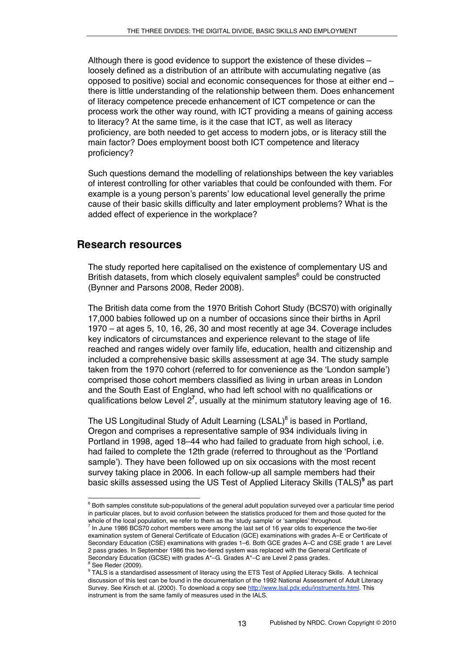Although there is good evidence to support the existence of these divides – loosely defined as a distribution of an attribute with accumulating negative (as opposed to positive) social and economic consequences for those at either end – there is little understanding of the relationship between them. Does enhancement of literacy competence precede enhancement of ICT competence or can the process work the other way round, with ICT providing a means of gaining access to literacy? At the same time, is it the case that ICT, as well as literacy proficiency, are both needed to get access to modern jobs, or is literacy still the main factor? Does employment boost both ICT competence and literacy proficiency?

Such questions demand the modelling of relationships between the key variables of interest controlling for other variables that could be confounded with them. For example is a young person's parents' low educational level generally the prime cause of their basic skills difficulty and later employment problems? What is the added effect of experience in the workplace?

## **Research resources**

The study reported here capitalised on the existence of complementary US and British datasets, from which closely equivalent samples<sup>6</sup> could be constructed (Bynner and Parsons 2008, Reder 2008).

The British data come from the 1970 British Cohort Study (BCS70) with originally 17,000 babies followed up on a number of occasions since their births in April 1970 – at ages 5, 10, 16, 26, 30 and most recently at age 34. Coverage includes key indicators of circumstances and experience relevant to the stage of life reached and ranges widely over family life, education, health and citizenship and included a comprehensive basic skills assessment at age 34. The study sample taken from the 1970 cohort (referred to for convenience as the ʻLondon sample') comprised those cohort members classified as living in urban areas in London and the South East of England, who had left school with no qualifications or qualifications below Level 2<sup>7</sup>, usually at the minimum statutory leaving age of 16.

The US Longitudinal Study of Adult Learning (LSAL)<sup>8</sup> is based in Portland, Oregon and comprises a representative sample of 934 individuals living in Portland in 1998, aged 18–44 who had failed to graduate from high school, i.e. had failed to complete the 12th grade (referred to throughout as the ʻPortland sample'). They have been followed up on six occasions with the most recent survey taking place in 2006. In each follow-up all sample members had their basic skills assessed using the US Test of Applied Literacy Skills (TALS)<sup>9</sup> as part

 $6$  Both samples constitute sub-populations of the general adult population surveyed over a particular time period in particular places, but to avoid confusion between the statistics produced for them and those quoted for the whole of the local population, we refer to them as the 'study sample' or 'samples' throughout.

In June 1986 BCS70 cohort members were among the last set of 16 year olds to experience the two-tier examination system of General Certificate of Education (GCE) examinations with grades A–E or Certificate of Secondary Education (CSE) examinations with grades 1–6. Both GCE grades A–C and CSE grade 1 are Level 2 pass grades. In September 1986 this two-tiered system was replaced with the General Certificate of Secondary Education (GCSE) with grades  $A^*-G$ . Grades  $A^*-G$  are Level 2 pass grades.

 $8$  See Reder (2009).

<sup>&</sup>lt;sup>9</sup> TALS is a standardised assessment of literacy using the ETS Test of Applied Literacy Skills. A technical discussion of this test can be found in the documentation of the 1992 National Assessment of Adult Literacy Survey. See Kirsch et al. (2000). To download a copy see http://www.lsal.pdx.edu/instruments.html. This instrument is from the same family of measures used in the IALS.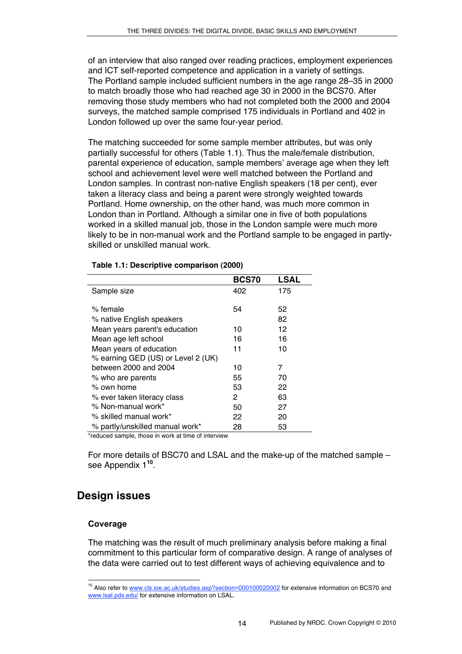of an interview that also ranged over reading practices, employment experiences and ICT self-reported competence and application in a variety of settings. The Portland sample included sufficient numbers in the age range 28–35 in 2000 to match broadly those who had reached age 30 in 2000 in the BCS70. After removing those study members who had not completed both the 2000 and 2004 surveys, the matched sample comprised 175 individuals in Portland and 402 in London followed up over the same four-year period.

The matching succeeded for some sample member attributes, but was only partially successful for others (Table 1.1). Thus the male/female distribution, parental experience of education, sample members' average age when they left school and achievement level were well matched between the Portland and London samples. In contrast non-native English speakers (18 per cent), ever taken a literacy class and being a parent were strongly weighted towards Portland. Home ownership, on the other hand, was much more common in London than in Portland. Although a similar one in five of both populations worked in a skilled manual job, those in the London sample were much more likely to be in non-manual work and the Portland sample to be engaged in partlyskilled or unskilled manual work.

|                                    | <b>BCS70</b> | <b>LSAL</b> |
|------------------------------------|--------------|-------------|
| Sample size                        | 402          | 175         |
|                                    |              |             |
| % female                           | 54           | 52          |
| % native English speakers          |              | 82          |
| Mean years parent's education      | 10           | 12          |
| Mean age left school               | 16           | 16          |
| Mean years of education            | 11           | 10          |
| % earning GED (US) or Level 2 (UK) |              |             |
| between 2000 and 2004              | 10           | 7           |
| % who are parents                  | 55           | 70          |
| % own home                         | 53           | 22          |
| % ever taken literacy class        | 2            | 63          |
| % Non-manual work*                 | 50           | 27          |
| % skilled manual work*             | 22           | 20          |
| % partly/unskilled manual work*    | 28           | 53          |

#### **Table 1.1: Descriptive comparison (2000)**

\*reduced sample, those in work at time of interview

For more details of BSC70 and LSAL and the make-up of the matched sample – see Appendix 1**<sup>10</sup>**.

# **Design issues**

## **Coverage**

The matching was the result of much preliminary analysis before making a final commitment to this particular form of comparative design. A range of analyses of the data were carried out to test different ways of achieving equivalence and to

<sup>&</sup>lt;sup>10</sup> Also refer to www.cls.ioe.ac.uk/studies.asp?section=000100020002 for extensive information on BCS70 and www.lsal.pdx.edu/ for extensive information on LSAL.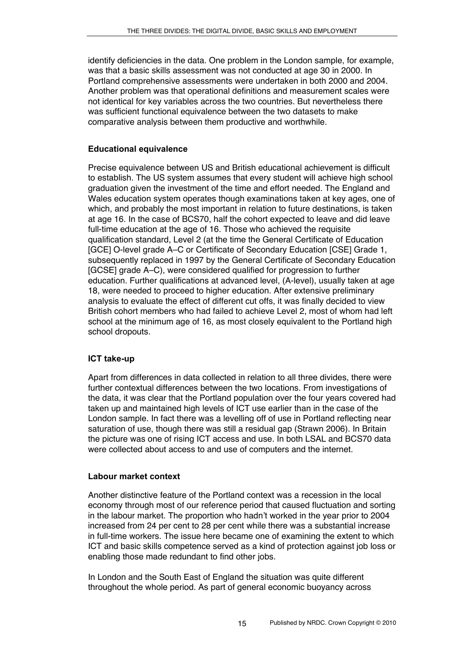identify deficiencies in the data. One problem in the London sample, for example, was that a basic skills assessment was not conducted at age 30 in 2000. In Portland comprehensive assessments were undertaken in both 2000 and 2004. Another problem was that operational definitions and measurement scales were not identical for key variables across the two countries. But nevertheless there was sufficient functional equivalence between the two datasets to make comparative analysis between them productive and worthwhile.

## **Educational equivalence**

Precise equivalence between US and British educational achievement is difficult to establish. The US system assumes that every student will achieve high school graduation given the investment of the time and effort needed. The England and Wales education system operates though examinations taken at key ages, one of which, and probably the most important in relation to future destinations, is taken at age 16. In the case of BCS70, half the cohort expected to leave and did leave full-time education at the age of 16. Those who achieved the requisite qualification standard, Level 2 (at the time the General Certificate of Education [GCE] O-level grade A–C or Certificate of Secondary Education [CSE] Grade 1, subsequently replaced in 1997 by the General Certificate of Secondary Education [GCSE] grade A–C), were considered qualified for progression to further education. Further qualifications at advanced level, (A-level), usually taken at age 18, were needed to proceed to higher education. After extensive preliminary analysis to evaluate the effect of different cut offs, it was finally decided to view British cohort members who had failed to achieve Level 2, most of whom had left school at the minimum age of 16, as most closely equivalent to the Portland high school dropouts.

## **ICT take-up**

Apart from differences in data collected in relation to all three divides, there were further contextual differences between the two locations. From investigations of the data, it was clear that the Portland population over the four years covered had taken up and maintained high levels of ICT use earlier than in the case of the London sample. In fact there was a levelling off of use in Portland reflecting near saturation of use, though there was still a residual gap (Strawn 2006). In Britain the picture was one of rising ICT access and use. In both LSAL and BCS70 data were collected about access to and use of computers and the internet.

## **Labour market context**

Another distinctive feature of the Portland context was a recession in the local economy through most of our reference period that caused fluctuation and sorting in the labour market. The proportion who hadn't worked in the year prior to 2004 increased from 24 per cent to 28 per cent while there was a substantial increase in full-time workers. The issue here became one of examining the extent to which ICT and basic skills competence served as a kind of protection against job loss or enabling those made redundant to find other jobs.

In London and the South East of England the situation was quite different throughout the whole period. As part of general economic buoyancy across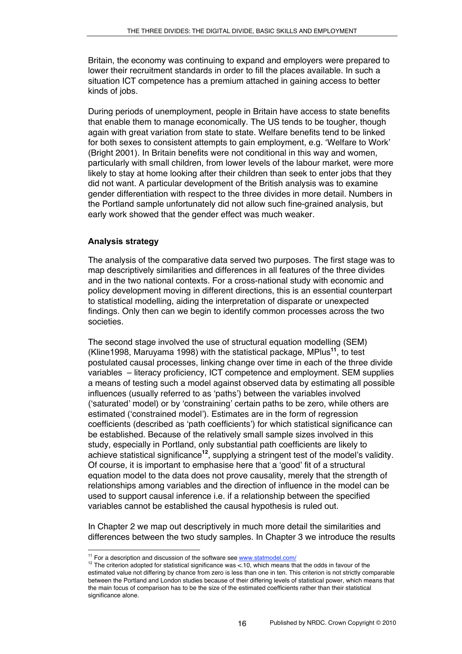Britain, the economy was continuing to expand and employers were prepared to lower their recruitment standards in order to fill the places available. In such a situation ICT competence has a premium attached in gaining access to better kinds of jobs.

During periods of unemployment, people in Britain have access to state benefits that enable them to manage economically. The US tends to be tougher, though again with great variation from state to state. Welfare benefits tend to be linked for both sexes to consistent attempts to gain employment, e.g. ʻWelfare to Work' (Bright 2001). In Britain benefits were not conditional in this way and women, particularly with small children, from lower levels of the labour market, were more likely to stay at home looking after their children than seek to enter jobs that they did not want. A particular development of the British analysis was to examine gender differentiation with respect to the three divides in more detail. Numbers in the Portland sample unfortunately did not allow such fine-grained analysis, but early work showed that the gender effect was much weaker.

### **Analysis strategy**

The analysis of the comparative data served two purposes. The first stage was to map descriptively similarities and differences in all features of the three divides and in the two national contexts. For a cross-national study with economic and policy development moving in different directions, this is an essential counterpart to statistical modelling, aiding the interpretation of disparate or unexpected findings. Only then can we begin to identify common processes across the two societies.

The second stage involved the use of structural equation modelling (SEM) (Kline1998, Maruyama 1998) with the statistical package, MPlus**<sup>11</sup>**, to test postulated causal processes, linking change over time in each of the three divide variables – literacy proficiency, ICT competence and employment. SEM supplies a means of testing such a model against observed data by estimating all possible influences (usually referred to as ʻpaths') between the variables involved (ʻsaturated' model) or by ʻconstraining' certain paths to be zero, while others are estimated (ʻconstrained model'). Estimates are in the form of regression coefficients (described as ʻpath coefficients') for which statistical significance can be established. Because of the relatively small sample sizes involved in this study, especially in Portland, only substantial path coefficients are likely to achieve statistical significance**<sup>12</sup>**, supplying a stringent test of the model's validity. Of course, it is important to emphasise here that a ʻgood' fit of a structural equation model to the data does not prove causality, merely that the strength of relationships among variables and the direction of influence in the model can be used to support causal inference i.e. if a relationship between the specified variables cannot be established the causal hypothesis is ruled out.

In Chapter 2 we map out descriptively in much more detail the similarities and differences between the two study samples. In Chapter 3 we introduce the results

<sup>&</sup>lt;sup>11</sup> For a description and discussion of the software see www.statmodel.com/<br><sup>12</sup> The criterion adopted for statistical significance was <.10, which means that the odds in favour of the estimated value not differing by chance from zero is less than one in ten. This criterion is not strictly comparable between the Portland and London studies because of their differing levels of statistical power, which means that the main focus of comparison has to be the size of the estimated coefficients rather than their statistical significance alone.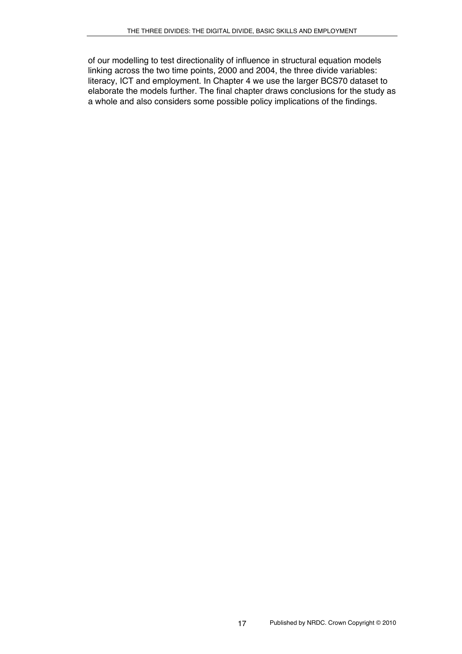of our modelling to test directionality of influence in structural equation models linking across the two time points, 2000 and 2004, the three divide variables: literacy, ICT and employment. In Chapter 4 we use the larger BCS70 dataset to elaborate the models further. The final chapter draws conclusions for the study as a whole and also considers some possible policy implications of the findings.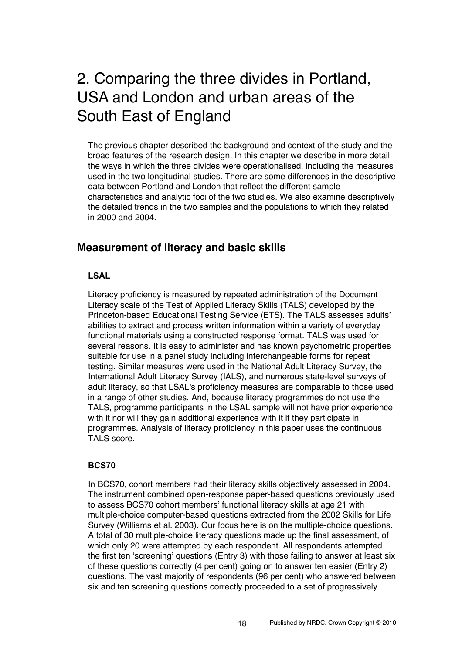# 2. Comparing the three divides in Portland, USA and London and urban areas of the South East of England

The previous chapter described the background and context of the study and the broad features of the research design. In this chapter we describe in more detail the ways in which the three divides were operationalised, including the measures used in the two longitudinal studies. There are some differences in the descriptive data between Portland and London that reflect the different sample characteristics and analytic foci of the two studies. We also examine descriptively the detailed trends in the two samples and the populations to which they related in 2000 and 2004.

## **Measurement of literacy and basic skills**

### **LSAL**

Literacy proficiency is measured by repeated administration of the Document Literacy scale of the Test of Applied Literacy Skills (TALS) developed by the Princeton-based Educational Testing Service (ETS). The TALS assesses adults' abilities to extract and process written information within a variety of everyday functional materials using a constructed response format. TALS was used for several reasons. It is easy to administer and has known psychometric properties suitable for use in a panel study including interchangeable forms for repeat testing. Similar measures were used in the National Adult Literacy Survey, the International Adult Literacy Survey (IALS), and numerous state-level surveys of adult literacy, so that LSAL's proficiency measures are comparable to those used in a range of other studies. And, because literacy programmes do not use the TALS, programme participants in the LSAL sample will not have prior experience with it nor will they gain additional experience with it if they participate in programmes. Analysis of literacy proficiency in this paper uses the continuous TALS score.

#### **BCS70**

In BCS70, cohort members had their literacy skills objectively assessed in 2004. The instrument combined open-response paper-based questions previously used to assess BCS70 cohort members' functional literacy skills at age 21 with multiple-choice computer-based questions extracted from the 2002 Skills for Life Survey (Williams et al. 2003). Our focus here is on the multiple-choice questions. A total of 30 multiple-choice literacy questions made up the final assessment, of which only 20 were attempted by each respondent. All respondents attempted the first ten ʻscreening' questions (Entry 3) with those failing to answer at least six of these questions correctly (4 per cent) going on to answer ten easier (Entry 2) questions. The vast majority of respondents (96 per cent) who answered between six and ten screening questions correctly proceeded to a set of progressively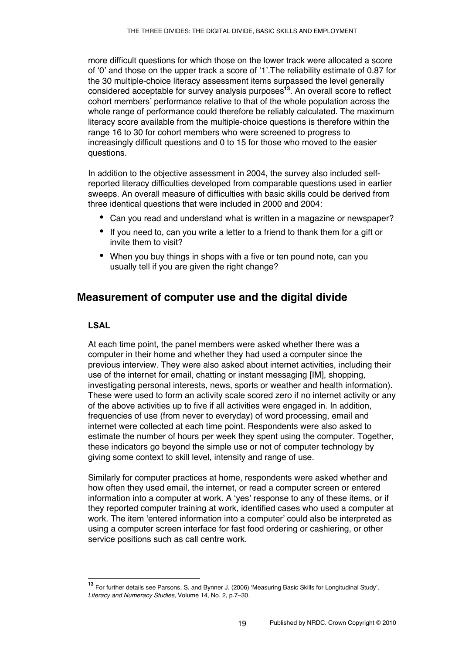more difficult questions for which those on the lower track were allocated a score of ʻ0' and those on the upper track a score of ʻ1'.The reliability estimate of 0.87 for the 30 multiple-choice literacy assessment items surpassed the level generally considered acceptable for survey analysis purposes**<sup>13</sup>**. An overall score to reflect cohort members' performance relative to that of the whole population across the whole range of performance could therefore be reliably calculated. The maximum literacy score available from the multiple-choice questions is therefore within the range 16 to 30 for cohort members who were screened to progress to increasingly difficult questions and 0 to 15 for those who moved to the easier questions.

In addition to the objective assessment in 2004, the survey also included selfreported literacy difficulties developed from comparable questions used in earlier sweeps. An overall measure of difficulties with basic skills could be derived from three identical questions that were included in 2000 and 2004:

- Can you read and understand what is written in a magazine or newspaper?
- If you need to, can you write a letter to a friend to thank them for a gift or invite them to visit?
- When you buy things in shops with a five or ten pound note, can you usually tell if you are given the right change?

# **Measurement of computer use and the digital divide**

## **LSAL**

At each time point, the panel members were asked whether there was a computer in their home and whether they had used a computer since the previous interview. They were also asked about internet activities, including their use of the internet for email, chatting or instant messaging [IM], shopping, investigating personal interests, news, sports or weather and health information). These were used to form an activity scale scored zero if no internet activity or any of the above activities up to five if all activities were engaged in. In addition, frequencies of use (from never to everyday) of word processing, email and internet were collected at each time point. Respondents were also asked to estimate the number of hours per week they spent using the computer. Together, these indicators go beyond the simple use or not of computer technology by giving some context to skill level, intensity and range of use.

Similarly for computer practices at home, respondents were asked whether and how often they used email, the internet, or read a computer screen or entered information into a computer at work. A ʻyes' response to any of these items, or if they reported computer training at work, identified cases who used a computer at work. The item ʻentered information into a computer' could also be interpreted as using a computer screen interface for fast food ordering or cashiering, or other service positions such as call centre work.

**<sup>13</sup>** For further details see Parsons, S. and Bynner J. (2006) ʻMeasuring Basic Skills for Longitudinal Study', *Literacy and Numeracy Studies,* Volume 14, No. 2, p.7–30*.*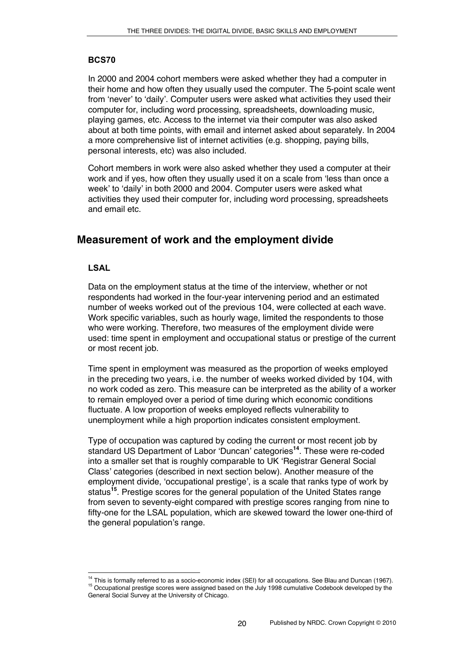### **BCS70**

In 2000 and 2004 cohort members were asked whether they had a computer in their home and how often they usually used the computer. The 5-point scale went from ʻnever' to ʻdaily'. Computer users were asked what activities they used their computer for, including word processing, spreadsheets, downloading music, playing games, etc. Access to the internet via their computer was also asked about at both time points, with email and internet asked about separately. In 2004 a more comprehensive list of internet activities (e.g. shopping, paying bills, personal interests, etc) was also included.

Cohort members in work were also asked whether they used a computer at their work and if yes, how often they usually used it on a scale from ʻless than once a week' to ʻdaily' in both 2000 and 2004. Computer users were asked what activities they used their computer for, including word processing, spreadsheets and email etc.

# **Measurement of work and the employment divide**

### **LSAL**

Data on the employment status at the time of the interview, whether or not respondents had worked in the four-year intervening period and an estimated number of weeks worked out of the previous 104, were collected at each wave. Work specific variables, such as hourly wage, limited the respondents to those who were working. Therefore, two measures of the employment divide were used: time spent in employment and occupational status or prestige of the current or most recent job.

Time spent in employment was measured as the proportion of weeks employed in the preceding two years, i.e. the number of weeks worked divided by 104, with no work coded as zero. This measure can be interpreted as the ability of a worker to remain employed over a period of time during which economic conditions fluctuate. A low proportion of weeks employed reflects vulnerability to unemployment while a high proportion indicates consistent employment.

Type of occupation was captured by coding the current or most recent job by standard US Department of Labor ʻDuncan' categories**<sup>14</sup>**. These were re-coded into a smaller set that is roughly comparable to UK ʻRegistrar General Social Class' categories (described in next section below). Another measure of the employment divide, ʻoccupational prestige', is a scale that ranks type of work by status**<sup>15</sup>**. Prestige scores for the general population of the United States range from seven to seventy-eight compared with prestige scores ranging from nine to fifty-one for the LSAL population, which are skewed toward the lower one-third of the general population's range.

<sup>&</sup>lt;sup>14</sup> This is formally referred to as a socio-economic index (SEI) for all occupations. See Blau and Duncan (1967).<br><sup>15</sup> Occupational prestige scores were assigned based on the July 1998 cumulative Codebook developed by th General Social Survey at the University of Chicago.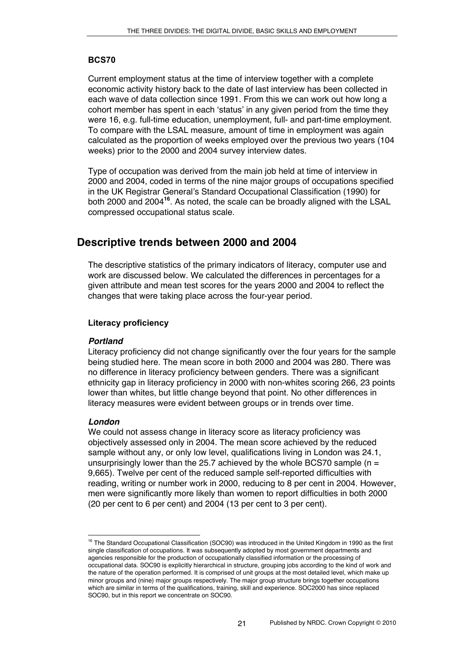### **BCS70**

Current employment status at the time of interview together with a complete economic activity history back to the date of last interview has been collected in each wave of data collection since 1991. From this we can work out how long a cohort member has spent in each ʻstatus' in any given period from the time they were 16, e.g. full-time education, unemployment, full- and part-time employment. To compare with the LSAL measure, amount of time in employment was again calculated as the proportion of weeks employed over the previous two years (104 weeks) prior to the 2000 and 2004 survey interview dates.

Type of occupation was derived from the main job held at time of interview in 2000 and 2004, coded in terms of the nine major groups of occupations specified in the UK Registrar General's Standard Occupational Classification (1990) for both 2000 and 2004**<sup>16</sup>**. As noted, the scale can be broadly aligned with the LSAL compressed occupational status scale.

# **Descriptive trends between 2000 and 2004**

The descriptive statistics of the primary indicators of literacy, computer use and work are discussed below. We calculated the differences in percentages for a given attribute and mean test scores for the years 2000 and 2004 to reflect the changes that were taking place across the four-year period.

#### **Literacy proficiency**

#### *Portland*

Literacy proficiency did not change significantly over the four years for the sample being studied here. The mean score in both 2000 and 2004 was 280. There was no difference in literacy proficiency between genders. There was a significant ethnicity gap in literacy proficiency in 2000 with non-whites scoring 266, 23 points lower than whites, but little change beyond that point. No other differences in literacy measures were evident between groups or in trends over time.

#### *London*

We could not assess change in literacy score as literacy proficiency was objectively assessed only in 2004. The mean score achieved by the reduced sample without any, or only low level, qualifications living in London was 24.1, unsurprisingly lower than the 25.7 achieved by the whole BCS70 sample ( $n =$ 9,665). Twelve per cent of the reduced sample self-reported difficulties with reading, writing or number work in 2000, reducing to 8 per cent in 2004. However, men were significantly more likely than women to report difficulties in both 2000 (20 per cent to 6 per cent) and 2004 (13 per cent to 3 per cent).

<sup>&</sup>lt;sup>16</sup> The Standard Occupational Classification (SOC90) was introduced in the United Kingdom in 1990 as the first single classification of occupations. It was subsequently adopted by most government departments and agencies responsible for the production of occupationally classified information or the processing of occupational data. SOC90 is explicitly hierarchical in structure, grouping jobs according to the kind of work and the nature of the operation performed. It is comprised of unit groups at the most detailed level, which make up minor groups and (nine) major groups respectively. The major group structure brings together occupations which are similar in terms of the qualifications, training, skill and experience. SOC2000 has since replaced SOC90, but in this report we concentrate on SOC90.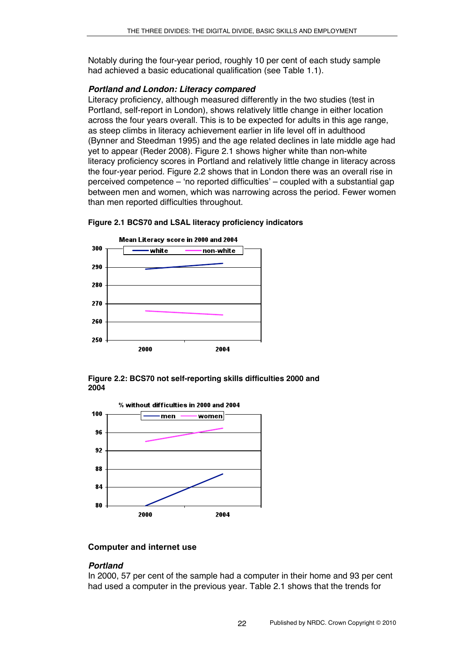Notably during the four-year period, roughly 10 per cent of each study sample had achieved a basic educational qualification (see Table 1.1).

#### *Portland and London: Literacy compared*

Literacy proficiency, although measured differently in the two studies (test in Portland, self-report in London), shows relatively little change in either location across the four years overall. This is to be expected for adults in this age range, as steep climbs in literacy achievement earlier in life level off in adulthood (Bynner and Steedman 1995) and the age related declines in late middle age had yet to appear (Reder 2008). Figure 2.1 shows higher white than non-white literacy proficiency scores in Portland and relatively little change in literacy across the four-year period. Figure 2.2 shows that in London there was an overall rise in perceived competence – ʻno reported difficulties' – coupled with a substantial gap between men and women, which was narrowing across the period. Fewer women than men reported difficulties throughout.



#### **Figure 2.1 BCS70 and LSAL literacy proficiency indicators**





#### **Computer and internet use**

#### *Portland*

In 2000, 57 per cent of the sample had a computer in their home and 93 per cent had used a computer in the previous year. Table 2.1 shows that the trends for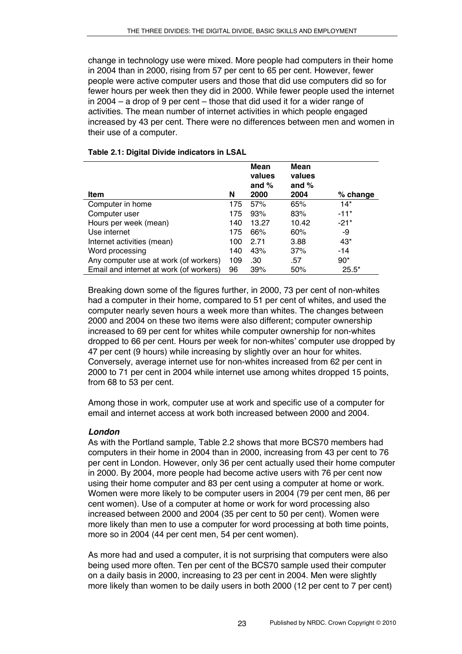change in technology use were mixed. More people had computers in their home in 2004 than in 2000, rising from 57 per cent to 65 per cent. However, fewer people were active computer users and those that did use computers did so for fewer hours per week then they did in 2000. While fewer people used the internet in 2004 – a drop of 9 per cent – those that did used it for a wider range of activities. The mean number of internet activities in which people engaged increased by 43 per cent. There were no differences between men and women in their use of a computer.

|                                         |     | Mean<br>values<br>and $%$ | Mean<br>values<br>and $%$ |          |
|-----------------------------------------|-----|---------------------------|---------------------------|----------|
| <b>Item</b>                             | N   | 2000                      | 2004                      | % change |
| Computer in home                        | 175 | 57%                       | 65%                       | $14*$    |
| Computer user                           | 175 | 93%                       | 83%                       | $-11*$   |
| Hours per week (mean)                   | 140 | 13.27                     | 10.42                     | $-21*$   |
| Use internet                            | 175 | 66%                       | 60%                       | -9       |
| Internet activities (mean)              | 100 | 2.71                      | 3.88                      | $43*$    |
| Word processing                         | 140 | 43%                       | 37%                       | $-14$    |
| Any computer use at work (of workers)   | 109 | .30                       | .57                       | $90*$    |
| Email and internet at work (of workers) | 96  | 39%                       | 50%                       | $25.5*$  |

### **Table 2.1: Digital Divide indicators in LSAL**

Breaking down some of the figures further, in 2000, 73 per cent of non-whites had a computer in their home, compared to 51 per cent of whites, and used the computer nearly seven hours a week more than whites. The changes between 2000 and 2004 on these two items were also different; computer ownership increased to 69 per cent for whites while computer ownership for non-whites dropped to 66 per cent. Hours per week for non-whites' computer use dropped by 47 per cent (9 hours) while increasing by slightly over an hour for whites. Conversely, average internet use for non-whites increased from 62 per cent in 2000 to 71 per cent in 2004 while internet use among whites dropped 15 points, from 68 to 53 per cent.

Among those in work, computer use at work and specific use of a computer for email and internet access at work both increased between 2000 and 2004.

## *London*

As with the Portland sample, Table 2.2 shows that more BCS70 members had computers in their home in 2004 than in 2000, increasing from 43 per cent to 76 per cent in London. However, only 36 per cent actually used their home computer in 2000. By 2004, more people had become active users with 76 per cent now using their home computer and 83 per cent using a computer at home or work. Women were more likely to be computer users in 2004 (79 per cent men, 86 per cent women). Use of a computer at home or work for word processing also increased between 2000 and 2004 (35 per cent to 50 per cent). Women were more likely than men to use a computer for word processing at both time points, more so in 2004 (44 per cent men, 54 per cent women).

As more had and used a computer, it is not surprising that computers were also being used more often. Ten per cent of the BCS70 sample used their computer on a daily basis in 2000, increasing to 23 per cent in 2004. Men were slightly more likely than women to be daily users in both 2000 (12 per cent to 7 per cent)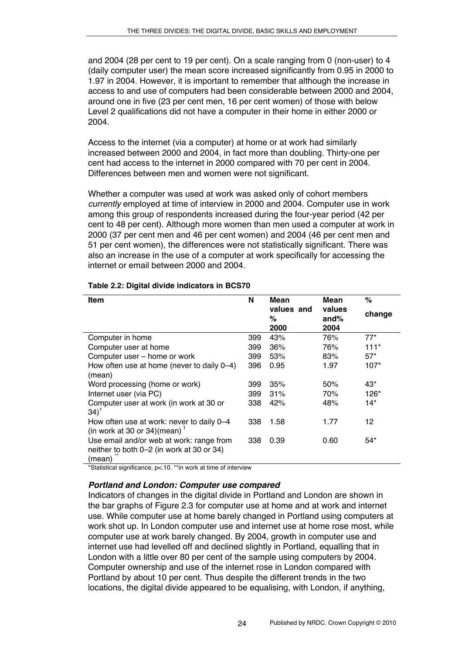and 2004 (28 per cent to 19 per cent). On a scale ranging from 0 (non-user) to 4 (daily computer user) the mean score increased significantly from 0.95 in 2000 to 1.97 in 2004. However, it is important to remember that although the increase in access to and use of computers had been considerable between 2000 and 2004, around one in five (23 per cent men, 16 per cent women) of those with below Level 2 qualifications did not have a computer in their home in either 2000 or 2004.

Access to the internet (via a computer) at home or at work had similarly increased between 2000 and 2004, in fact more than doubling. Thirty-one per cent had access to the internet in 2000 compared with 70 per cent in 2004. Differences between men and women were not significant.

Whether a computer was used at work was asked only of cohort members *currently* employed at time of interview in 2000 and 2004. Computer use in work among this group of respondents increased during the four-year period (42 per cent to 48 per cent). Although more women than men used a computer at work in 2000 (37 per cent men and 46 per cent women) and 2004 (46 per cent men and 51 per cent women), the differences were not statistically significant. There was also an increase in the use of a computer at work specifically for accessing the internet or email between 2000 and 2004.

| <b>Item</b>                                                                                     | N   | Mean                    | Mean                   | %      |
|-------------------------------------------------------------------------------------------------|-----|-------------------------|------------------------|--------|
|                                                                                                 |     | values and<br>%<br>2000 | values<br>and%<br>2004 | change |
| Computer in home                                                                                | 399 | 43%                     | 76%                    | $77*$  |
| Computer user at home                                                                           | 399 | 36%                     | 76%                    | $111*$ |
| Computer user - home or work                                                                    | 399 | 53%                     | 83%                    | $57*$  |
| How often use at home (never to daily 0-4)<br>(mean)                                            | 396 | 0.95                    | 1.97                   | $107*$ |
| Word processing (home or work)                                                                  | 399 | 35%                     | 50%                    | $43*$  |
| Internet user (via PC)                                                                          | 399 | 31%                     | 70%                    | 126*   |
| Computer user at work (in work at 30 or<br>$(34)^{1}$                                           | 338 | 42%                     | 48%                    | $14*$  |
| How often use at work: never to daily 0-4<br>(in work at 30 or 34)(mean) $1$                    | 338 | 1.58                    | 1.77                   | 12     |
| Use email and/or web at work: range from<br>neither to both 0–2 (in work at 30 or 34)<br>(mean) | 338 | 0.39                    | 0.60                   | $54*$  |

## **Table 2.2: Digital divide indicators in BCS70**

\*Statistical significance, p<.10. \*\*in work at time of interview

## *Portland and London: Computer use compared*

Indicators of changes in the digital divide in Portland and London are shown in the bar graphs of Figure 2.3 for computer use at home and at work and internet use. While computer use at home barely changed in Portland using computers at work shot up. In London computer use and internet use at home rose most, while computer use at work barely changed. By 2004, growth in computer use and internet use had levelled off and declined slightly in Portland, equalling that in London with a little over 80 per cent of the sample using computers by 2004. Computer ownership and use of the internet rose in London compared with Portland by about 10 per cent. Thus despite the different trends in the two locations, the digital divide appeared to be equalising, with London, if anything,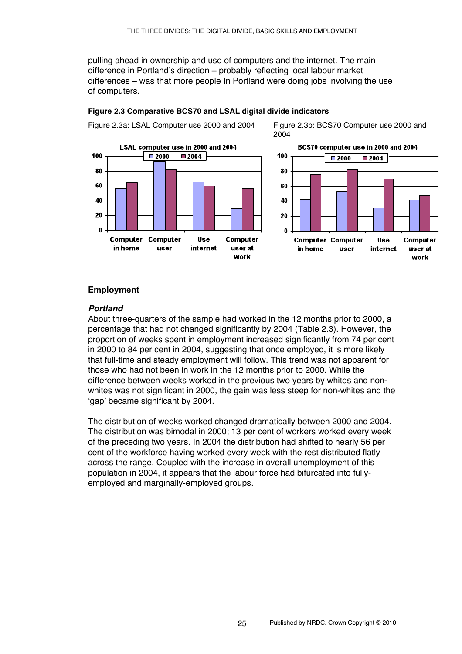pulling ahead in ownership and use of computers and the internet. The main difference in Portland's direction – probably reflecting local labour market differences – was that more people In Portland were doing jobs involving the use of computers.



#### **Figure 2.3 Comparative BCS70 and LSAL digital divide indicators**

Figure 2.3a: LSAL Computer use 2000 and 2004 Figure 2.3b: BCS70 Computer use 2000 and 2004



## **Employment**

#### *Portland*

About three-quarters of the sample had worked in the 12 months prior to 2000, a percentage that had not changed significantly by 2004 (Table 2.3). However, the proportion of weeks spent in employment increased significantly from 74 per cent in 2000 to 84 per cent in 2004, suggesting that once employed, it is more likely that full-time and steady employment will follow. This trend was not apparent for those who had not been in work in the 12 months prior to 2000. While the difference between weeks worked in the previous two years by whites and nonwhites was not significant in 2000, the gain was less steep for non-whites and the ʻgap' became significant by 2004.

The distribution of weeks worked changed dramatically between 2000 and 2004. The distribution was bimodal in 2000; 13 per cent of workers worked every week of the preceding two years. In 2004 the distribution had shifted to nearly 56 per cent of the workforce having worked every week with the rest distributed flatly across the range. Coupled with the increase in overall unemployment of this population in 2004, it appears that the labour force had bifurcated into fullyemployed and marginally-employed groups.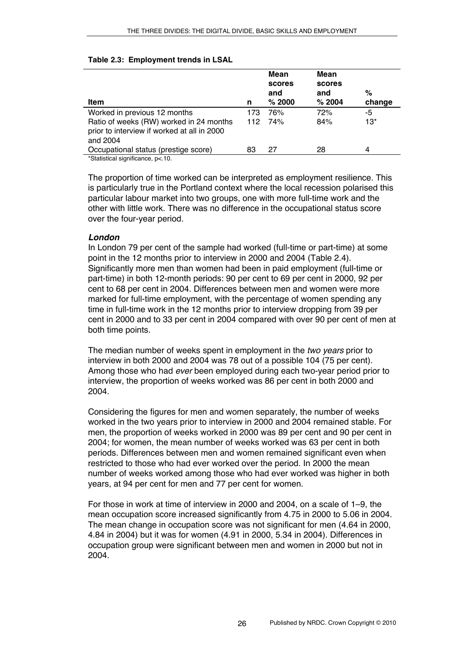| Item                                                                                               | n   | Mean<br>scores<br>and<br>% 2000 | Mean<br>scores<br>and<br>% 2004 | %<br>change |
|----------------------------------------------------------------------------------------------------|-----|---------------------------------|---------------------------------|-------------|
| Worked in previous 12 months                                                                       | 173 | 76%                             | 72%                             | -5          |
| Ratio of weeks (RW) worked in 24 months<br>prior to interview if worked at all in 2000<br>and 2004 | 112 | 74%                             | 84%                             | $13*$       |
| Occupational status (prestige score)                                                               | 83  | 27                              | 28                              | 4           |
| *Statistical significance, p< 10.                                                                  |     |                                 |                                 |             |

#### **Table 2.3: Employment trends in LSAL**

The proportion of time worked can be interpreted as employment resilience. This is particularly true in the Portland context where the local recession polarised this particular labour market into two groups, one with more full-time work and the other with little work. There was no difference in the occupational status score over the four-year period.

## *London*

In London 79 per cent of the sample had worked (full-time or part-time) at some point in the 12 months prior to interview in 2000 and 2004 (Table 2.4). Significantly more men than women had been in paid employment (full-time or part-time) in both 12-month periods: 90 per cent to 69 per cent in 2000, 92 per cent to 68 per cent in 2004. Differences between men and women were more marked for full-time employment, with the percentage of women spending any time in full-time work in the 12 months prior to interview dropping from 39 per cent in 2000 and to 33 per cent in 2004 compared with over 90 per cent of men at both time points.

The median number of weeks spent in employment in the *two years* prior to interview in both 2000 and 2004 was 78 out of a possible 104 (75 per cent). Among those who had *ever* been employed during each two-year period prior to interview, the proportion of weeks worked was 86 per cent in both 2000 and 2004.

Considering the figures for men and women separately, the number of weeks worked in the two years prior to interview in 2000 and 2004 remained stable. For men, the proportion of weeks worked in 2000 was 89 per cent and 90 per cent in 2004; for women, the mean number of weeks worked was 63 per cent in both periods. Differences between men and women remained significant even when restricted to those who had ever worked over the period. In 2000 the mean number of weeks worked among those who had ever worked was higher in both years, at 94 per cent for men and 77 per cent for women.

For those in work at time of interview in 2000 and 2004, on a scale of 1–9, the mean occupation score increased significantly from 4.75 in 2000 to 5.06 in 2004. The mean change in occupation score was not significant for men (4.64 in 2000, 4.84 in 2004) but it was for women (4.91 in 2000, 5.34 in 2004). Differences in occupation group were significant between men and women in 2000 but not in 2004.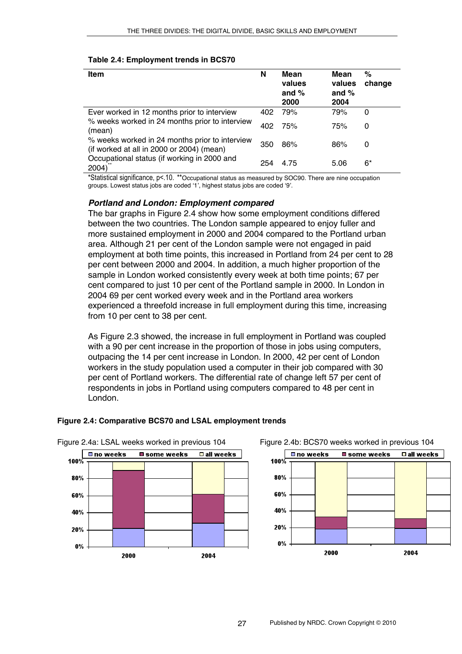#### **Table 2.4: Employment trends in BCS70**

| <b>Item</b>                                                                                 | N   | Mean<br>values<br>and $%$<br>2000 | Mean<br>values<br>and $%$<br>2004 | %<br>change |
|---------------------------------------------------------------------------------------------|-----|-----------------------------------|-----------------------------------|-------------|
| Ever worked in 12 months prior to interview                                                 | 402 | 79%                               | 79%                               | 0           |
| % weeks worked in 24 months prior to interview<br>(mean)                                    | 402 | 75%                               | 75%                               | 0           |
| % weeks worked in 24 months prior to interview<br>(if worked at all in 2000 or 2004) (mean) | 350 | 86%                               | 86%                               | 0           |
| Occupational status (if working in 2000 and<br>2004)                                        | 254 | 4.75                              | 5.06                              | 6*          |

\*Statistical significance, p<.10. \*\*Occupational status as measured by SOC90. There are nine occupation groups. Lowest status jobs are coded ʻ1', highest status jobs are coded ʻ9'.

### *Portland and London: Employment compared*

The bar graphs in Figure 2.4 show how some employment conditions differed between the two countries. The London sample appeared to enjoy fuller and more sustained employment in 2000 and 2004 compared to the Portland urban area. Although 21 per cent of the London sample were not engaged in paid employment at both time points, this increased in Portland from 24 per cent to 28 per cent between 2000 and 2004. In addition, a much higher proportion of the sample in London worked consistently every week at both time points; 67 per cent compared to just 10 per cent of the Portland sample in 2000. In London in 2004 69 per cent worked every week and in the Portland area workers experienced a threefold increase in full employment during this time, increasing from 10 per cent to 38 per cent.

As Figure 2.3 showed, the increase in full employment in Portland was coupled with a 90 per cent increase in the proportion of those in jobs using computers, outpacing the 14 per cent increase in London. In 2000, 42 per cent of London workers in the study population used a computer in their job compared with 30 per cent of Portland workers. The differential rate of change left 57 per cent of respondents in jobs in Portland using computers compared to 48 per cent in London.



## **Figure 2.4: Comparative BCS70 and LSAL employment trends**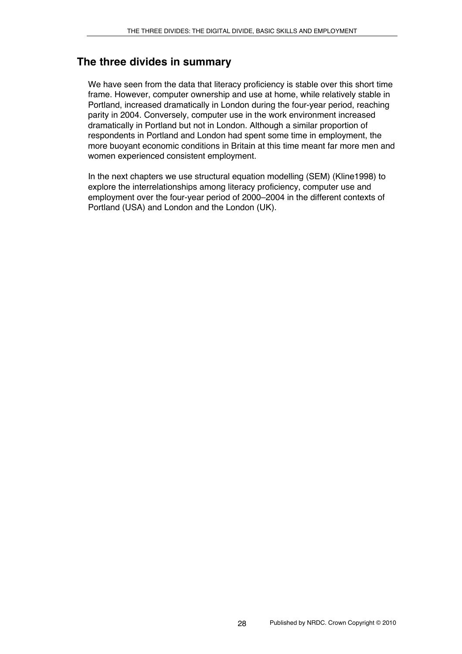# **The three divides in summary**

We have seen from the data that literacy proficiency is stable over this short time frame. However, computer ownership and use at home, while relatively stable in Portland, increased dramatically in London during the four-year period, reaching parity in 2004. Conversely, computer use in the work environment increased dramatically in Portland but not in London. Although a similar proportion of respondents in Portland and London had spent some time in employment, the more buoyant economic conditions in Britain at this time meant far more men and women experienced consistent employment.

In the next chapters we use structural equation modelling (SEM) (Kline1998) to explore the interrelationships among literacy proficiency, computer use and employment over the four-year period of 2000–2004 in the different contexts of Portland (USA) and London and the London (UK).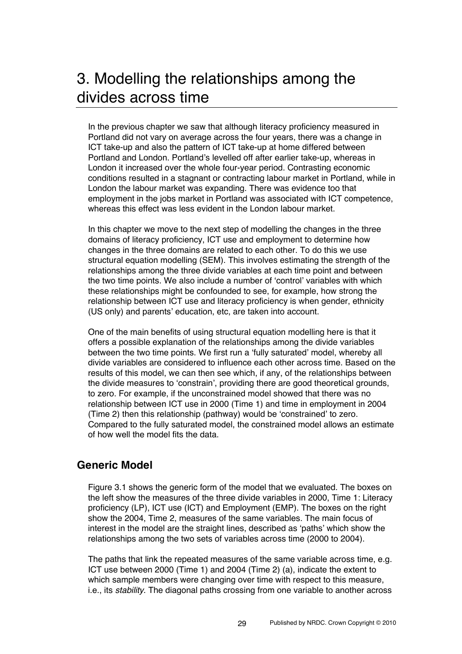# 3. Modelling the relationships among the divides across time

In the previous chapter we saw that although literacy proficiency measured in Portland did not vary on average across the four years, there was a change in ICT take-up and also the pattern of ICT take-up at home differed between Portland and London. Portland's levelled off after earlier take-up, whereas in London it increased over the whole four-year period. Contrasting economic conditions resulted in a stagnant or contracting labour market in Portland, while in London the labour market was expanding. There was evidence too that employment in the jobs market in Portland was associated with ICT competence, whereas this effect was less evident in the London labour market.

In this chapter we move to the next step of modelling the changes in the three domains of literacy proficiency, ICT use and employment to determine how changes in the three domains are related to each other. To do this we use structural equation modelling (SEM). This involves estimating the strength of the relationships among the three divide variables at each time point and between the two time points. We also include a number of ʻcontrol' variables with which these relationships might be confounded to see, for example, how strong the relationship between ICT use and literacy proficiency is when gender, ethnicity (US only) and parents' education, etc, are taken into account.

One of the main benefits of using structural equation modelling here is that it offers a possible explanation of the relationships among the divide variables between the two time points. We first run a ʻfully saturated' model, whereby all divide variables are considered to influence each other across time. Based on the results of this model, we can then see which, if any, of the relationships between the divide measures to ʻconstrain', providing there are good theoretical grounds, to zero. For example, if the unconstrained model showed that there was no relationship between ICT use in 2000 (Time 1) and time in employment in 2004 (Time 2) then this relationship (pathway) would be ʻconstrained' to zero. Compared to the fully saturated model, the constrained model allows an estimate of how well the model fits the data.

# **Generic Model**

Figure 3.1 shows the generic form of the model that we evaluated. The boxes on the left show the measures of the three divide variables in 2000, Time 1: Literacy proficiency (LP), ICT use (ICT) and Employment (EMP). The boxes on the right show the 2004, Time 2, measures of the same variables. The main focus of interest in the model are the straight lines, described as ʻpaths' which show the relationships among the two sets of variables across time (2000 to 2004).

The paths that link the repeated measures of the same variable across time, e.g. ICT use between 2000 (Time 1) and 2004 (Time 2) (a), indicate the extent to which sample members were changing over time with respect to this measure, i.e., its *stability*. The diagonal paths crossing from one variable to another across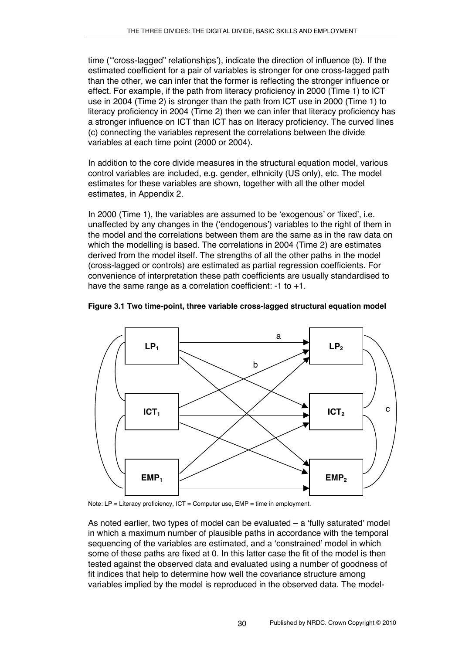time (ʻ"cross-lagged" relationships'), indicate the direction of influence (b). If the estimated coefficient for a pair of variables is stronger for one cross-lagged path than the other, we can infer that the former is reflecting the stronger influence or effect. For example, if the path from literacy proficiency in 2000 (Time 1) to ICT use in 2004 (Time 2) is stronger than the path from ICT use in 2000 (Time 1) to literacy proficiency in 2004 (Time 2) then we can infer that literacy proficiency has a stronger influence on ICT than ICT has on literacy proficiency. The curved lines (c) connecting the variables represent the correlations between the divide variables at each time point (2000 or 2004).

In addition to the core divide measures in the structural equation model, various control variables are included, e.g. gender, ethnicity (US only), etc. The model estimates for these variables are shown, together with all the other model estimates, in Appendix 2.

In 2000 (Time 1), the variables are assumed to be ʻexogenous' or ʻfixed', i.e. unaffected by any changes in the (ʻendogenous') variables to the right of them in the model and the correlations between them are the same as in the raw data on which the modelling is based. The correlations in 2004 (Time 2) are estimates derived from the model itself. The strengths of all the other paths in the model (cross-lagged or controls) are estimated as partial regression coefficients. For convenience of interpretation these path coefficients are usually standardised to have the same range as a correlation coefficient: -1 to +1.





Note: LP = Literacy proficiency, ICT = Computer use, EMP = time in employment.

As noted earlier, two types of model can be evaluated – a ʻfully saturated' model in which a maximum number of plausible paths in accordance with the temporal sequencing of the variables are estimated, and a ʻconstrained' model in which some of these paths are fixed at 0. In this latter case the fit of the model is then tested against the observed data and evaluated using a number of goodness of fit indices that help to determine how well the covariance structure among variables implied by the model is reproduced in the observed data. The model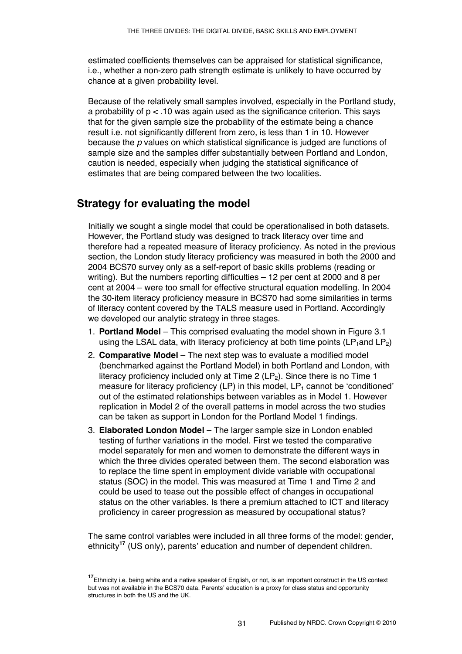estimated coefficients themselves can be appraised for statistical significance, i.e., whether a non-zero path strength estimate is unlikely to have occurred by chance at a given probability level.

Because of the relatively small samples involved, especially in the Portland study, a probability of  $p < 0.10$  was again used as the significance criterion. This says that for the given sample size the probability of the estimate being a chance result i.e. not significantly different from zero, is less than 1 in 10. However because the *p* values on which statistical significance is judged are functions of sample size and the samples differ substantially between Portland and London, caution is needed, especially when judging the statistical significance of estimates that are being compared between the two localities.

# **Strategy for evaluating the model**

Initially we sought a single model that could be operationalised in both datasets. However, the Portland study was designed to track literacy over time and therefore had a repeated measure of literacy proficiency. As noted in the previous section, the London study literacy proficiency was measured in both the 2000 and 2004 BCS70 survey only as a self-report of basic skills problems (reading or writing). But the numbers reporting difficulties – 12 per cent at 2000 and 8 per cent at 2004 – were too small for effective structural equation modelling. In 2004 the 30-item literacy proficiency measure in BCS70 had some similarities in terms of literacy content covered by the TALS measure used in Portland. Accordingly we developed our analytic strategy in three stages.

- 1. **Portland Model** This comprised evaluating the model shown in Figure 3.1 using the LSAL data, with literacy proficiency at both time points  $(LP_1$ and  $LP_2)$
- 2. **Comparative Model** The next step was to evaluate a modified model (benchmarked against the Portland Model) in both Portland and London, with literacy proficiency included only at Time 2  $(LP<sub>2</sub>)$ . Since there is no Time 1 measure for literacy proficiency (LP) in this model,  $LP_1$  cannot be 'conditioned' out of the estimated relationships between variables as in Model 1. However replication in Model 2 of the overall patterns in model across the two studies can be taken as support in London for the Portland Model 1 findings.
- 3. **Elaborated London Model** The larger sample size in London enabled testing of further variations in the model. First we tested the comparative model separately for men and women to demonstrate the different ways in which the three divides operated between them. The second elaboration was to replace the time spent in employment divide variable with occupational status (SOC) in the model. This was measured at Time 1 and Time 2 and could be used to tease out the possible effect of changes in occupational status on the other variables. Is there a premium attached to ICT and literacy proficiency in career progression as measured by occupational status?

The same control variables were included in all three forms of the model: gender, ethnicity**<sup>17</sup>** (US only), parents' education and number of dependent children.

**<sup>17</sup>**Ethnicity i.e. being white and a native speaker of English, or not, is an important construct in the US context but was not available in the BCS70 data. Parents' education is a proxy for class status and opportunity structures in both the US and the UK.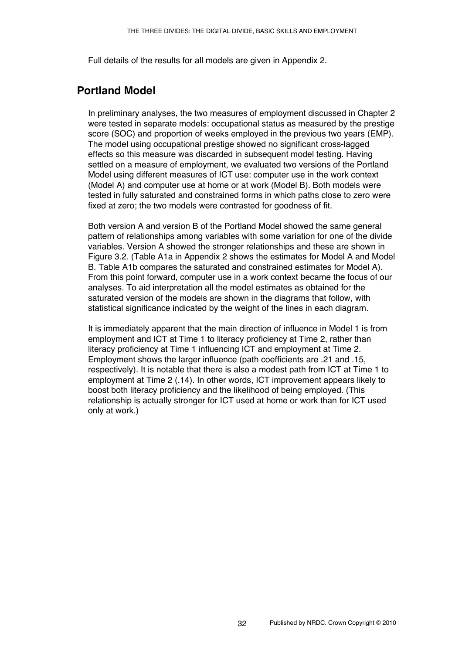Full details of the results for all models are given in Appendix 2.

# **Portland Model**

In preliminary analyses, the two measures of employment discussed in Chapter 2 were tested in separate models: occupational status as measured by the prestige score (SOC) and proportion of weeks employed in the previous two years (EMP). The model using occupational prestige showed no significant cross-lagged effects so this measure was discarded in subsequent model testing. Having settled on a measure of employment, we evaluated two versions of the Portland Model using different measures of ICT use: computer use in the work context (Model A) and computer use at home or at work (Model B). Both models were tested in fully saturated and constrained forms in which paths close to zero were fixed at zero; the two models were contrasted for goodness of fit.

Both version A and version B of the Portland Model showed the same general pattern of relationships among variables with some variation for one of the divide variables. Version A showed the stronger relationships and these are shown in Figure 3.2. (Table A1a in Appendix 2 shows the estimates for Model A and Model B. Table A1b compares the saturated and constrained estimates for Model A). From this point forward, computer use in a work context became the focus of our analyses. To aid interpretation all the model estimates as obtained for the saturated version of the models are shown in the diagrams that follow, with statistical significance indicated by the weight of the lines in each diagram.

It is immediately apparent that the main direction of influence in Model 1 is from employment and ICT at Time 1 to literacy proficiency at Time 2, rather than literacy proficiency at Time 1 influencing ICT and employment at Time 2. Employment shows the larger influence (path coefficients are .21 and .15, respectively). It is notable that there is also a modest path from ICT at Time 1 to employment at Time 2 (.14). In other words, ICT improvement appears likely to boost both literacy proficiency and the likelihood of being employed. (This relationship is actually stronger for ICT used at home or work than for ICT used only at work.)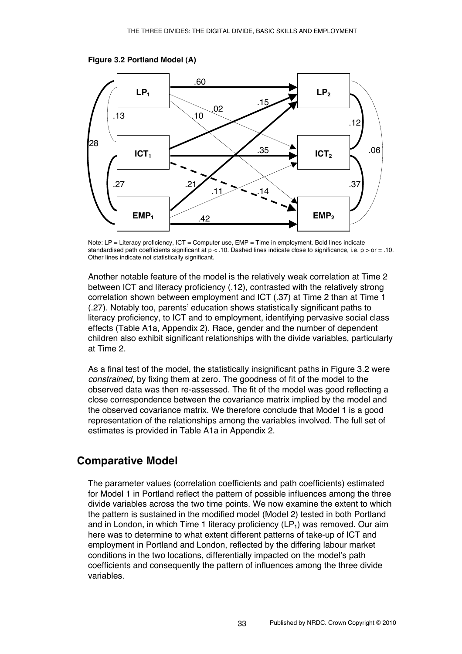



Note: LP = Literacy proficiency, ICT = Computer use, EMP = Time in employment. Bold lines indicate standardised path coefficients significant at  $p < 10$ . Dashed lines indicate close to significance, i.e.  $p >$  or  $= 10$ . Other lines indicate not statistically significant.

Another notable feature of the model is the relatively weak correlation at Time 2 between ICT and literacy proficiency (.12), contrasted with the relatively strong correlation shown between employment and ICT (.37) at Time 2 than at Time 1 (.27). Notably too, parents' education shows statistically significant paths to literacy proficiency, to ICT and to employment, identifying pervasive social class effects (Table A1a, Appendix 2). Race, gender and the number of dependent children also exhibit significant relationships with the divide variables, particularly at Time 2.

As a final test of the model, the statistically insignificant paths in Figure 3.2 were *constrained*, by fixing them at zero. The goodness of fit of the model to the observed data was then re-assessed. The fit of the model was good reflecting a close correspondence between the covariance matrix implied by the model and the observed covariance matrix. We therefore conclude that Model 1 is a good representation of the relationships among the variables involved. The full set of estimates is provided in Table A1a in Appendix 2.

# **Comparative Model**

The parameter values (correlation coefficients and path coefficients) estimated for Model 1 in Portland reflect the pattern of possible influences among the three divide variables across the two time points. We now examine the extent to which the pattern is sustained in the modified model (Model 2) tested in both Portland and in London, in which Time 1 literacy proficiency  $(LP_1)$  was removed. Our aim here was to determine to what extent different patterns of take-up of ICT and employment in Portland and London, reflected by the differing labour market conditions in the two locations, differentially impacted on the model's path coefficients and consequently the pattern of influences among the three divide variables.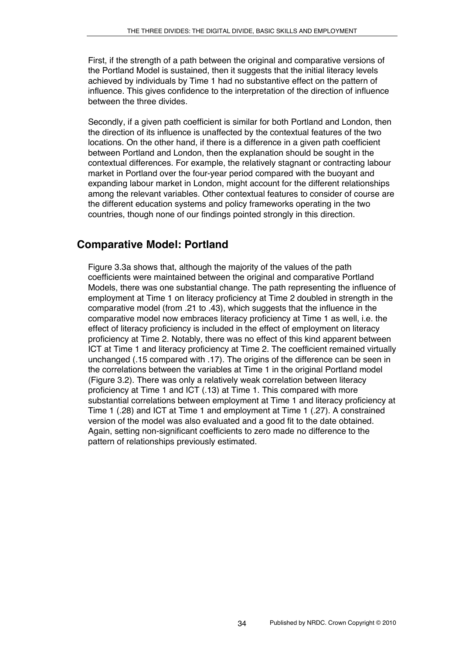First, if the strength of a path between the original and comparative versions of the Portland Model is sustained, then it suggests that the initial literacy levels achieved by individuals by Time 1 had no substantive effect on the pattern of influence. This gives confidence to the interpretation of the direction of influence between the three divides.

Secondly, if a given path coefficient is similar for both Portland and London, then the direction of its influence is unaffected by the contextual features of the two locations. On the other hand, if there is a difference in a given path coefficient between Portland and London, then the explanation should be sought in the contextual differences. For example, the relatively stagnant or contracting labour market in Portland over the four-year period compared with the buoyant and expanding labour market in London, might account for the different relationships among the relevant variables. Other contextual features to consider of course are the different education systems and policy frameworks operating in the two countries, though none of our findings pointed strongly in this direction.

# **Comparative Model: Portland**

Figure 3.3a shows that, although the majority of the values of the path coefficients were maintained between the original and comparative Portland Models, there was one substantial change. The path representing the influence of employment at Time 1 on literacy proficiency at Time 2 doubled in strength in the comparative model (from .21 to .43), which suggests that the influence in the comparative model now embraces literacy proficiency at Time 1 as well, i.e. the effect of literacy proficiency is included in the effect of employment on literacy proficiency at Time 2. Notably, there was no effect of this kind apparent between ICT at Time 1 and literacy proficiency at Time 2. The coefficient remained virtually unchanged (.15 compared with .17). The origins of the difference can be seen in the correlations between the variables at Time 1 in the original Portland model (Figure 3.2). There was only a relatively weak correlation between literacy proficiency at Time 1 and ICT (.13) at Time 1. This compared with more substantial correlations between employment at Time 1 and literacy proficiency at Time 1 (.28) and ICT at Time 1 and employment at Time 1 (.27). A constrained version of the model was also evaluated and a good fit to the date obtained. Again, setting non-significant coefficients to zero made no difference to the pattern of relationships previously estimated.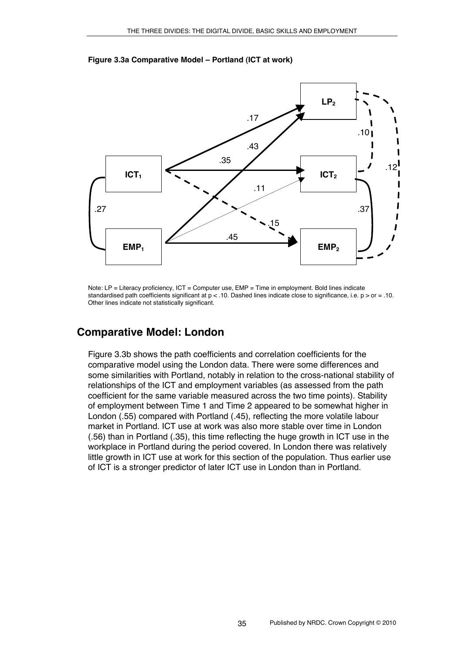

#### **Figure 3.3a Comparative Model – Portland (ICT at work)**

Note: LP = Literacy proficiency, ICT = Computer use, EMP = Time in employment. Bold lines indicate standardised path coefficients significant at  $p < 0.10$ . Dashed lines indicate close to significance, i.e.  $p >$  or = .10. Other lines indicate not statistically significant.

## **Comparative Model: London**

Figure 3.3b shows the path coefficients and correlation coefficients for the comparative model using the London data. There were some differences and some similarities with Portland, notably in relation to the cross-national stability of relationships of the ICT and employment variables (as assessed from the path coefficient for the same variable measured across the two time points). Stability of employment between Time 1 and Time 2 appeared to be somewhat higher in London (.55) compared with Portland (.45), reflecting the more volatile labour market in Portland. ICT use at work was also more stable over time in London (.56) than in Portland (.35), this time reflecting the huge growth in ICT use in the workplace in Portland during the period covered. In London there was relatively little growth in ICT use at work for this section of the population. Thus earlier use of ICT is a stronger predictor of later ICT use in London than in Portland.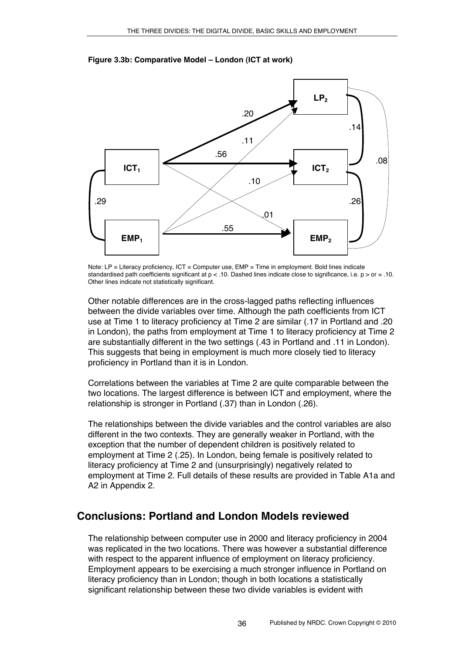

#### **Figure 3.3b: Comparative Model – London (ICT at work)**

Note: LP = Literacy proficiency, ICT = Computer use, EMP = Time in employment. Bold lines indicate standardised path coefficients significant at  $p < 10$ . Dashed lines indicate close to significance, i.e.  $p > or = 10$ . Other lines indicate not statistically significant.

Other notable differences are in the cross-lagged paths reflecting influences between the divide variables over time. Although the path coefficients from ICT use at Time 1 to literacy proficiency at Time 2 are similar (.17 in Portland and .20 in London), the paths from employment at Time 1 to literacy proficiency at Time 2 are substantially different in the two settings (.43 in Portland and .11 in London). This suggests that being in employment is much more closely tied to literacy proficiency in Portland than it is in London.

Correlations between the variables at Time 2 are quite comparable between the two locations. The largest difference is between ICT and employment, where the relationship is stronger in Portland (.37) than in London (.26).

The relationships between the divide variables and the control variables are also different in the two contexts. They are generally weaker in Portland, with the exception that the number of dependent children is positively related to employment at Time 2 (.25). In London, being female is positively related to literacy proficiency at Time 2 and (unsurprisingly) negatively related to employment at Time 2. Full details of these results are provided in Table A1a and A2 in Appendix 2.

# **Conclusions: Portland and London Models reviewed**

The relationship between computer use in 2000 and literacy proficiency in 2004 was replicated in the two locations. There was however a substantial difference with respect to the apparent influence of employment on literacy proficiency. Employment appears to be exercising a much stronger influence in Portland on literacy proficiency than in London; though in both locations a statistically significant relationship between these two divide variables is evident with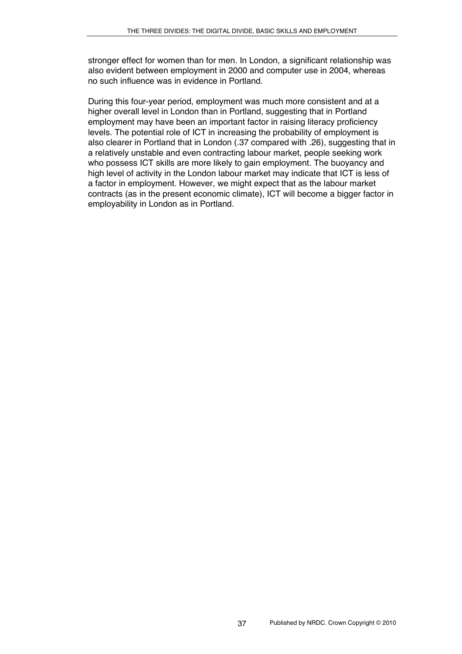stronger effect for women than for men. In London, a significant relationship was also evident between employment in 2000 and computer use in 2004, whereas no such influence was in evidence in Portland.

During this four-year period, employment was much more consistent and at a higher overall level in London than in Portland, suggesting that in Portland employment may have been an important factor in raising literacy proficiency levels. The potential role of ICT in increasing the probability of employment is also clearer in Portland that in London (.37 compared with .26), suggesting that in a relatively unstable and even contracting labour market, people seeking work who possess ICT skills are more likely to gain employment. The buoyancy and high level of activity in the London labour market may indicate that ICT is less of a factor in employment. However, we might expect that as the labour market contracts (as in the present economic climate), ICT will become a bigger factor in employability in London as in Portland.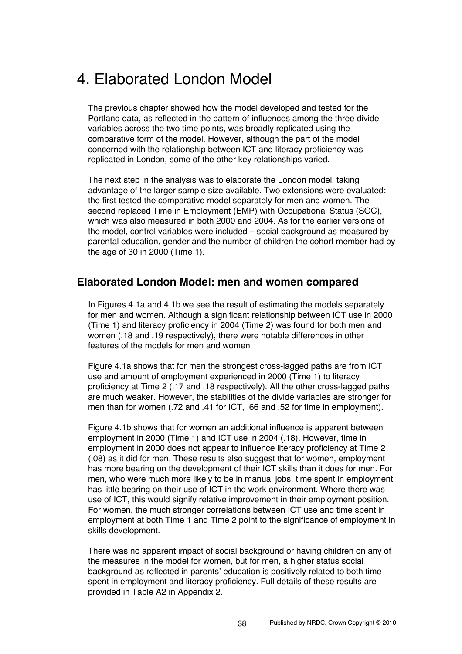# 4. Elaborated London Model

The previous chapter showed how the model developed and tested for the Portland data, as reflected in the pattern of influences among the three divide variables across the two time points, was broadly replicated using the comparative form of the model. However, although the part of the model concerned with the relationship between ICT and literacy proficiency was replicated in London, some of the other key relationships varied.

The next step in the analysis was to elaborate the London model, taking advantage of the larger sample size available. Two extensions were evaluated: the first tested the comparative model separately for men and women. The second replaced Time in Employment (EMP) with Occupational Status (SOC), which was also measured in both 2000 and 2004. As for the earlier versions of the model, control variables were included – social background as measured by parental education, gender and the number of children the cohort member had by the age of 30 in 2000 (Time 1).

# **Elaborated London Model: men and women compared**

In Figures 4.1a and 4.1b we see the result of estimating the models separately for men and women. Although a significant relationship between ICT use in 2000 (Time 1) and literacy proficiency in 2004 (Time 2) was found for both men and women (.18 and .19 respectively), there were notable differences in other features of the models for men and women

Figure 4.1a shows that for men the strongest cross-lagged paths are from ICT use and amount of employment experienced in 2000 (Time 1) to literacy proficiency at Time 2 (.17 and .18 respectively). All the other cross-lagged paths are much weaker. However, the stabilities of the divide variables are stronger for men than for women (.72 and .41 for ICT, .66 and .52 for time in employment).

Figure 4.1b shows that for women an additional influence is apparent between employment in 2000 (Time 1) and ICT use in 2004 (.18). However, time in employment in 2000 does not appear to influence literacy proficiency at Time 2 (.08) as it did for men. These results also suggest that for women, employment has more bearing on the development of their ICT skills than it does for men. For men, who were much more likely to be in manual jobs, time spent in employment has little bearing on their use of ICT in the work environment. Where there was use of ICT, this would signify relative improvement in their employment position. For women, the much stronger correlations between ICT use and time spent in employment at both Time 1 and Time 2 point to the significance of employment in skills development.

There was no apparent impact of social background or having children on any of the measures in the model for women, but for men, a higher status social background as reflected in parents' education is positively related to both time spent in employment and literacy proficiency. Full details of these results are provided in Table A2 in Appendix 2.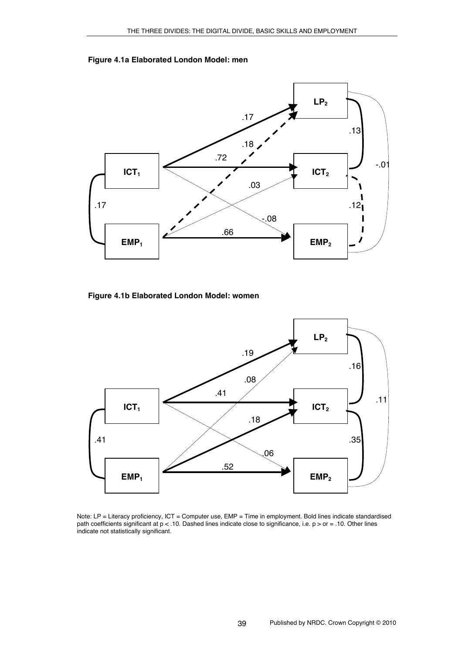



**Figure 4.1b Elaborated London Model: women**



Note: LP = Literacy proficiency, ICT = Computer use, EMP = Time in employment. Bold lines indicate standardised path coefficients significant at  $p < 10$ . Dashed lines indicate close to significance, i.e.  $p >$  or = .10. Other lines indicate not statistically significant.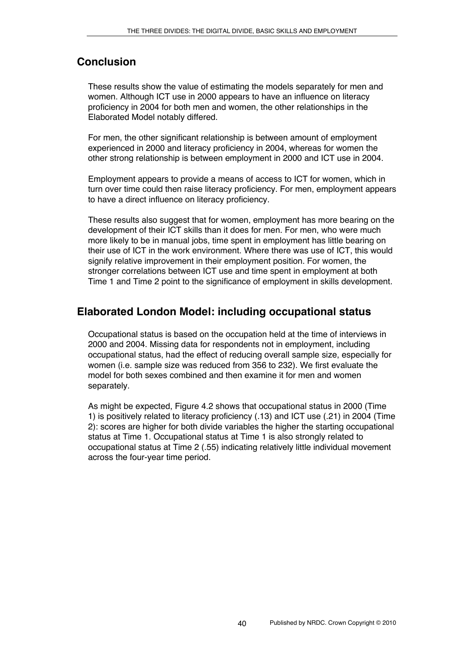# **Conclusion**

These results show the value of estimating the models separately for men and women. Although ICT use in 2000 appears to have an influence on literacy proficiency in 2004 for both men and women, the other relationships in the Elaborated Model notably differed.

For men, the other significant relationship is between amount of employment experienced in 2000 and literacy proficiency in 2004, whereas for women the other strong relationship is between employment in 2000 and ICT use in 2004.

Employment appears to provide a means of access to ICT for women, which in turn over time could then raise literacy proficiency. For men, employment appears to have a direct influence on literacy proficiency.

These results also suggest that for women, employment has more bearing on the development of their ICT skills than it does for men. For men, who were much more likely to be in manual jobs, time spent in employment has little bearing on their use of ICT in the work environment. Where there was use of ICT, this would signify relative improvement in their employment position. For women, the stronger correlations between ICT use and time spent in employment at both Time 1 and Time 2 point to the significance of employment in skills development.

# **Elaborated London Model: including occupational status**

Occupational status is based on the occupation held at the time of interviews in 2000 and 2004. Missing data for respondents not in employment, including occupational status, had the effect of reducing overall sample size, especially for women (i.e. sample size was reduced from 356 to 232). We first evaluate the model for both sexes combined and then examine it for men and women separately.

As might be expected, Figure 4.2 shows that occupational status in 2000 (Time 1) is positively related to literacy proficiency (.13) and ICT use (.21) in 2004 (Time 2): scores are higher for both divide variables the higher the starting occupational status at Time 1. Occupational status at Time 1 is also strongly related to occupational status at Time 2 (.55) indicating relatively little individual movement across the four-year time period.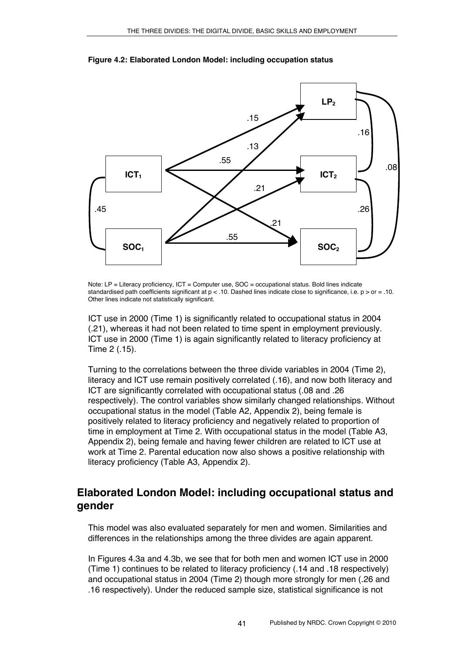

**Figure 4.2: Elaborated London Model: including occupation status**

Note: LP = Literacy proficiency, ICT = Computer use, SOC = occupational status. Bold lines indicate standardised path coefficients significant at  $p < 10$ . Dashed lines indicate close to significance, i.e.  $p >$  or  $= .10$ . Other lines indicate not statistically significant.

ICT use in 2000 (Time 1) is significantly related to occupational status in 2004 (.21), whereas it had not been related to time spent in employment previously. ICT use in 2000 (Time 1) is again significantly related to literacy proficiency at Time 2 (.15).

Turning to the correlations between the three divide variables in 2004 (Time 2), literacy and ICT use remain positively correlated (.16), and now both literacy and ICT are significantly correlated with occupational status (.08 and .26 respectively). The control variables show similarly changed relationships. Without occupational status in the model (Table A2, Appendix 2), being female is positively related to literacy proficiency and negatively related to proportion of time in employment at Time 2. With occupational status in the model (Table A3, Appendix 2), being female and having fewer children are related to ICT use at work at Time 2. Parental education now also shows a positive relationship with literacy proficiency (Table A3, Appendix 2).

# **Elaborated London Model: including occupational status and gender**

This model was also evaluated separately for men and women. Similarities and differences in the relationships among the three divides are again apparent.

In Figures 4.3a and 4.3b, we see that for both men and women ICT use in 2000 (Time 1) continues to be related to literacy proficiency (.14 and .18 respectively) and occupational status in 2004 (Time 2) though more strongly for men (.26 and .16 respectively). Under the reduced sample size, statistical significance is not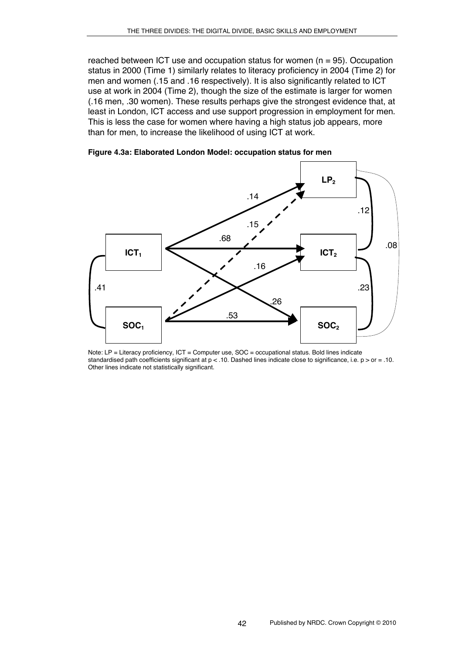reached between ICT use and occupation status for women  $(n = 95)$ . Occupation status in 2000 (Time 1) similarly relates to literacy proficiency in 2004 (Time 2) for men and women (.15 and .16 respectively). It is also significantly related to ICT use at work in 2004 (Time 2), though the size of the estimate is larger for women (.16 men, .30 women). These results perhaps give the strongest evidence that, at least in London, ICT access and use support progression in employment for men. This is less the case for women where having a high status job appears, more than for men, to increase the likelihood of using ICT at work.

**Figure 4.3a: Elaborated London Model: occupation status for men**



Note: LP = Literacy proficiency, ICT = Computer use, SOC = occupational status. Bold lines indicate standardised path coefficients significant at  $p < 10$ . Dashed lines indicate close to significance, i.e.  $p >$  or = .10. Other lines indicate not statistically significant.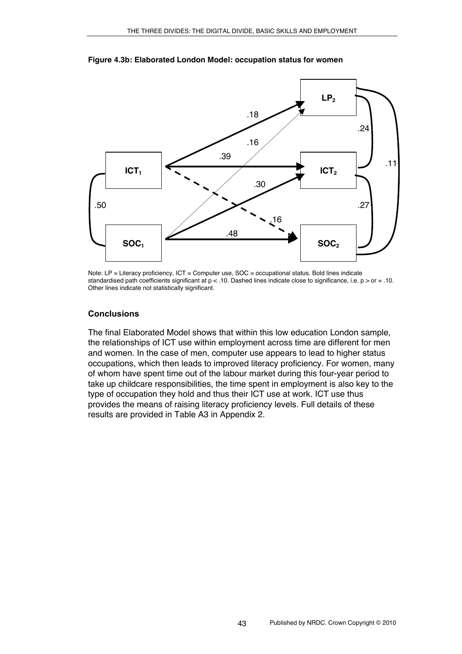

**Figure 4.3b: Elaborated London Model: occupation status for women**

Note: LP = Literacy proficiency, ICT = Computer use, SOC = occupational status. Bold lines indicate standardised path coefficients significant at  $p < 10$ . Dashed lines indicate close to significance, i.e.  $p >$  or = .10. Other lines indicate not statistically significant.

#### **Conclusions**

The final Elaborated Model shows that within this low education London sample, the relationships of ICT use within employment across time are different for men and women. In the case of men, computer use appears to lead to higher status occupations, which then leads to improved literacy proficiency. For women, many of whom have spent time out of the labour market during this four-year period to take up childcare responsibilities, the time spent in employment is also key to the type of occupation they hold and thus their ICT use at work. ICT use thus provides the means of raising literacy proficiency levels. Full details of these results are provided in Table A3 in Appendix 2.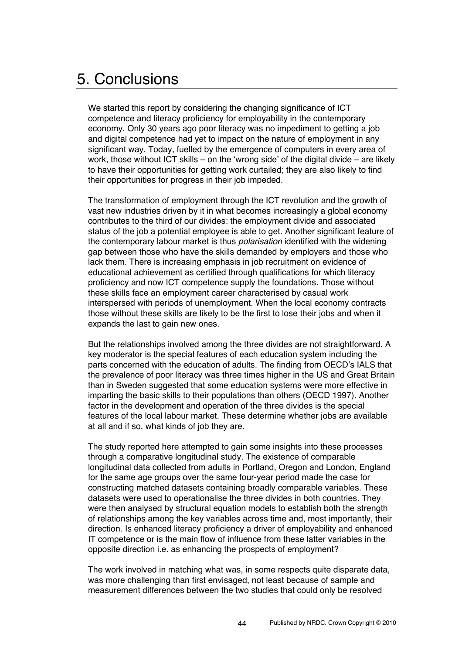# 5. Conclusions

We started this report by considering the changing significance of ICT competence and literacy proficiency for employability in the contemporary economy. Only 30 years ago poor literacy was no impediment to getting a job and digital competence had yet to impact on the nature of employment in any significant way. Today, fuelled by the emergence of computers in every area of work, those without ICT skills – on the ʻwrong side' of the digital divide – are likely to have their opportunities for getting work curtailed; they are also likely to find their opportunities for progress in their job impeded.

The transformation of employment through the ICT revolution and the growth of vast new industries driven by it in what becomes increasingly a global economy contributes to the third of our divides: the employment divide and associated status of the job a potential employee is able to get. Another significant feature of the contemporary labour market is thus *polarisation* identified with the widening gap between those who have the skills demanded by employers and those who lack them. There is increasing emphasis in job recruitment on evidence of educational achievement as certified through qualifications for which literacy proficiency and now ICT competence supply the foundations. Those without these skills face an employment career characterised by casual work interspersed with periods of unemployment. When the local economy contracts those without these skills are likely to be the first to lose their jobs and when it expands the last to gain new ones.

But the relationships involved among the three divides are not straightforward. A key moderator is the special features of each education system including the parts concerned with the education of adults. The finding from OECD's IALS that the prevalence of poor literacy was three times higher in the US and Great Britain than in Sweden suggested that some education systems were more effective in imparting the basic skills to their populations than others (OECD 1997). Another factor in the development and operation of the three divides is the special features of the local labour market. These determine whether jobs are available at all and if so, what kinds of job they are.

The study reported here attempted to gain some insights into these processes through a comparative longitudinal study. The existence of comparable longitudinal data collected from adults in Portland, Oregon and London, England for the same age groups over the same four-year period made the case for constructing matched datasets containing broadly comparable variables. These datasets were used to operationalise the three divides in both countries. They were then analysed by structural equation models to establish both the strength of relationships among the key variables across time and, most importantly, their direction. Is enhanced literacy proficiency a driver of employability and enhanced IT competence or is the main flow of influence from these latter variables in the opposite direction i.e. as enhancing the prospects of employment?

The work involved in matching what was, in some respects quite disparate data, was more challenging than first envisaged, not least because of sample and measurement differences between the two studies that could only be resolved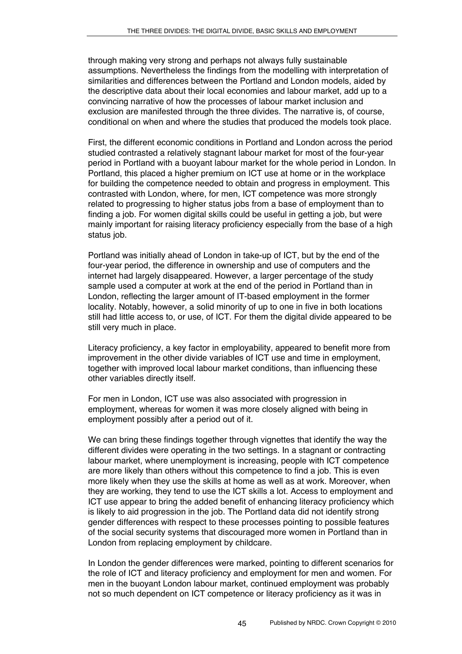through making very strong and perhaps not always fully sustainable assumptions. Nevertheless the findings from the modelling with interpretation of similarities and differences between the Portland and London models, aided by the descriptive data about their local economies and labour market, add up to a convincing narrative of how the processes of labour market inclusion and exclusion are manifested through the three divides. The narrative is, of course, conditional on when and where the studies that produced the models took place.

First, the different economic conditions in Portland and London across the period studied contrasted a relatively stagnant labour market for most of the four-year period in Portland with a buoyant labour market for the whole period in London. In Portland, this placed a higher premium on ICT use at home or in the workplace for building the competence needed to obtain and progress in employment. This contrasted with London, where, for men, ICT competence was more strongly related to progressing to higher status jobs from a base of employment than to finding a job. For women digital skills could be useful in getting a job, but were mainly important for raising literacy proficiency especially from the base of a high status *iob*.

Portland was initially ahead of London in take-up of ICT, but by the end of the four-year period, the difference in ownership and use of computers and the internet had largely disappeared. However, a larger percentage of the study sample used a computer at work at the end of the period in Portland than in London, reflecting the larger amount of IT-based employment in the former locality. Notably, however, a solid minority of up to one in five in both locations still had little access to, or use, of ICT. For them the digital divide appeared to be still very much in place.

Literacy proficiency, a key factor in employability, appeared to benefit more from improvement in the other divide variables of ICT use and time in employment, together with improved local labour market conditions, than influencing these other variables directly itself.

For men in London, ICT use was also associated with progression in employment, whereas for women it was more closely aligned with being in employment possibly after a period out of it.

We can bring these findings together through vignettes that identify the way the different divides were operating in the two settings. In a stagnant or contracting labour market, where unemployment is increasing, people with ICT competence are more likely than others without this competence to find a job. This is even more likely when they use the skills at home as well as at work. Moreover, when they are working, they tend to use the ICT skills a lot. Access to employment and ICT use appear to bring the added benefit of enhancing literacy proficiency which is likely to aid progression in the job. The Portland data did not identify strong gender differences with respect to these processes pointing to possible features of the social security systems that discouraged more women in Portland than in London from replacing employment by childcare.

In London the gender differences were marked, pointing to different scenarios for the role of ICT and literacy proficiency and employment for men and women. For men in the buoyant London labour market, continued employment was probably not so much dependent on ICT competence or literacy proficiency as it was in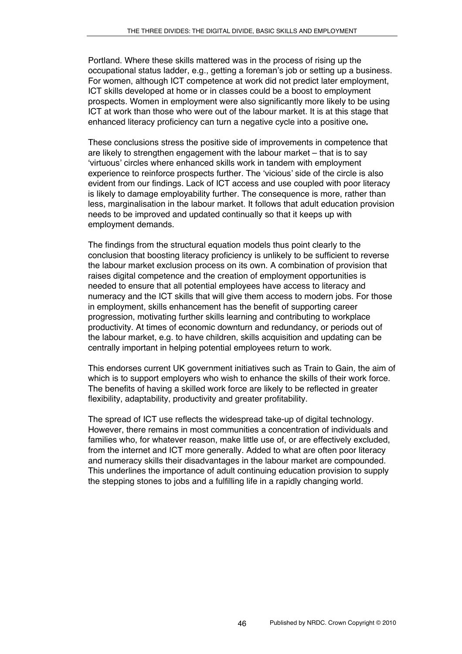Portland. Where these skills mattered was in the process of rising up the occupational status ladder, e.g., getting a foreman's job or setting up a business. For women, although ICT competence at work did not predict later employment, ICT skills developed at home or in classes could be a boost to employment prospects. Women in employment were also significantly more likely to be using ICT at work than those who were out of the labour market. It is at this stage that enhanced literacy proficiency can turn a negative cycle into a positive one**.** 

These conclusions stress the positive side of improvements in competence that are likely to strengthen engagement with the labour market – that is to say ʻvirtuous' circles where enhanced skills work in tandem with employment experience to reinforce prospects further. The ʻvicious' side of the circle is also evident from our findings. Lack of ICT access and use coupled with poor literacy is likely to damage employability further. The consequence is more, rather than less, marginalisation in the labour market. It follows that adult education provision needs to be improved and updated continually so that it keeps up with employment demands.

The findings from the structural equation models thus point clearly to the conclusion that boosting literacy proficiency is unlikely to be sufficient to reverse the labour market exclusion process on its own. A combination of provision that raises digital competence and the creation of employment opportunities is needed to ensure that all potential employees have access to literacy and numeracy and the ICT skills that will give them access to modern jobs. For those in employment, skills enhancement has the benefit of supporting career progression, motivating further skills learning and contributing to workplace productivity. At times of economic downturn and redundancy, or periods out of the labour market, e.g. to have children, skills acquisition and updating can be centrally important in helping potential employees return to work.

This endorses current UK government initiatives such as Train to Gain*,* the aim of which is to support employers who wish to enhance the skills of their work force. The benefits of having a skilled work force are likely to be reflected in greater flexibility, adaptability, productivity and greater profitability.

The spread of ICT use reflects the widespread take-up of digital technology. However, there remains in most communities a concentration of individuals and families who, for whatever reason, make little use of, or are effectively excluded, from the internet and ICT more generally. Added to what are often poor literacy and numeracy skills their disadvantages in the labour market are compounded. This underlines the importance of adult continuing education provision to supply the stepping stones to jobs and a fulfilling life in a rapidly changing world.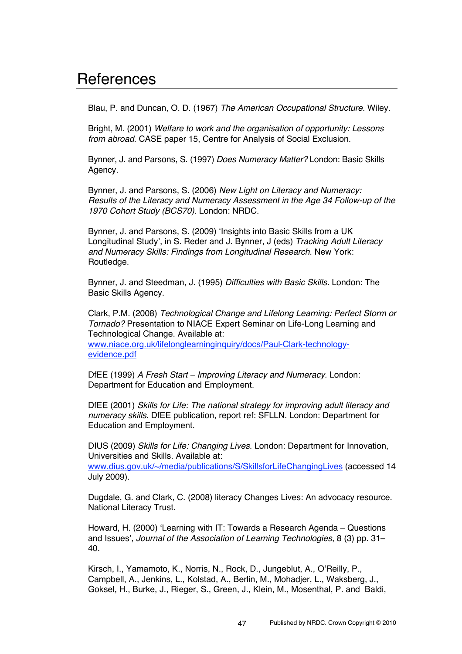# **References**

Blau, P. and Duncan, O. D. (1967) *The American Occupational Structure*. Wiley.

Bright, M. (2001) *Welfare to work and the organisation of opportunity: Lessons from abroad.* CASE paper 15, Centre for Analysis of Social Exclusion.

Bynner, J. and Parsons, S. (1997) *Does Numeracy Matter?* London: Basic Skills Agency.

Bynner, J. and Parsons, S. (2006) *New Light on Literacy and Numeracy: Results of the Literacy and Numeracy Assessment in the Age 34 Follow-up of the 1970 Cohort Study (BCS70).* London: NRDC.

Bynner, J. and Parsons, S. (2009) ʻInsights into Basic Skills from a UK Longitudinal Study', in S. Reder and J. Bynner, J (eds) *Tracking Adult Literacy and Numeracy Skills: Findings from Longitudinal Research*. New York: Routledge.

Bynner, J. and Steedman, J. (1995) *Difficulties with Basic Skills.* London: The Basic Skills Agency.

Clark, P.M. (2008) *Technological Change and Lifelong Learning: Perfect Storm or Tornado?* Presentation to NIACE Expert Seminar on Life-Long Learning and Technological Change. Available at:

www.niace.org.uk/lifelonglearninginquiry/docs/Paul-Clark-technologyevidence.pdf

DfEE (1999) *A Fresh Start – Improving Literacy and Numeracy.* London: Department for Education and Employment.

DfEE (2001) *Skills for Life: The national strategy for improving adult literacy and numeracy skills*. DfEE publication, report ref: SFLLN. London: Department for Education and Employment.

DIUS (2009) *Skills for Life: Changing Lives.* London: Department for Innovation, Universities and Skills. Available at:

www.dius.gov.uk/~/media/publications/S/SkillsforLifeChangingLives (accessed 14 July 2009).

Dugdale, G. and Clark, C. (2008) literacy Changes Lives: An advocacy resource. National Literacy Trust.

Howard, H. (2000) ʻLearning with IT: Towards a Research Agenda – Questions and Issues', *Journal of the Association of Learning Technologies*, 8 (3) pp. 31– 40.

Kirsch, I., Yamamoto, K., Norris, N., Rock, D., Jungeblut, A., O'Reilly, P., Campbell, A., Jenkins, L., Kolstad, A., Berlin, M., Mohadjer, L., Waksberg, J., Goksel, H., Burke, J., Rieger, S., Green, J., Klein, M., Mosenthal, P. and Baldi,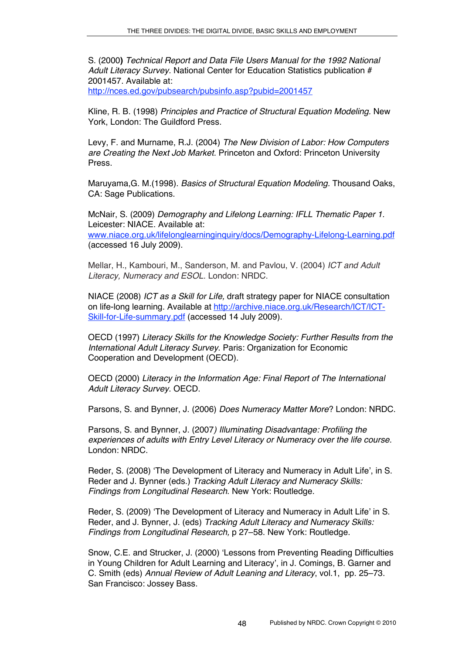S. (2000**)** *Technical Report and Data File Users Manual for the 1992 National Adult Literacy Survey.* National Center for Education Statistics publication # 2001457. Available at:

http://nces.ed.gov/pubsearch/pubsinfo.asp?pubid=2001457

Kline, R. B. (1998) *Principles and Practice of Structural Equation Modeling.* New York, London: The Guildford Press.

Levy, F. and Murname, R.J. (2004) *The New Division of Labor: How Computers are Creating the Next Job Market.* Princeton and Oxford: Princeton University Press.

Maruyama,G. M.(1998). *Basics of Structural Equation Modeling.* Thousand Oaks, CA: Sage Publications.

McNair, S. (2009) *Demography and Lifelong Learning: IFLL Thematic Paper 1.* Leicester: NIACE. Available at: www.niace.org.uk/lifelonglearninginquiry/docs/Demography-Lifelong-Learning.pdf (accessed 16 July 2009).

Mellar, H., Kambouri, M., Sanderson, M. and Pavlou, V. (2004) *ICT and Adult Literacy, Numeracy and ESOL.* London: NRDC.

NIACE (2008) *ICT as a Skill for Life,* draft strategy paper for NIACE consultation on life-long learning. Available at http://archive.niace.org.uk/Research/ICT/ICT-Skill-for-Life-summary.pdf (accessed 14 July 2009).

OECD (1997) *Literacy Skills for the Knowledge Society: Further Results from the International Adult Literacy Survey*. Paris: Organization for Economic Cooperation and Development (OECD).

OECD (2000) *Literacy in the Information Age: Final Report of The International Adult Literacy Survey.* OECD.

Parsons, S. and Bynner, J. (2006) *Does Numeracy Matter More*? London: NRDC.

Parsons, S. and Bynner, J. (2007*) Illuminating Disadvantage: Profiling the experiences of adults with Entry Level Literacy or Numeracy over the life course.*  London: NRDC.

Reder, S. (2008) ʻThe Development of Literacy and Numeracy in Adult Life', in S. Reder and J. Bynner (eds.) *Tracking Adult Literacy and Numeracy Skills: Findings from Longitudinal Research*. New York: Routledge.

Reder, S. (2009) ʻThe Development of Literacy and Numeracy in Adult Life' in S. Reder, and J. Bynner, J. (eds) *Tracking Adult Literacy and Numeracy Skills: Findings from Longitudinal Research,* p 27–58. New York: Routledge.

Snow, C.E. and Strucker, J. (2000) ʻLessons from Preventing Reading Difficulties in Young Children for Adult Learning and Literacy', in J. Comings, B. Garner and C. Smith (eds) *Annual Review of Adult Leaning and Literacy*, vol.1, pp. 25–73. San Francisco: Jossey Bass.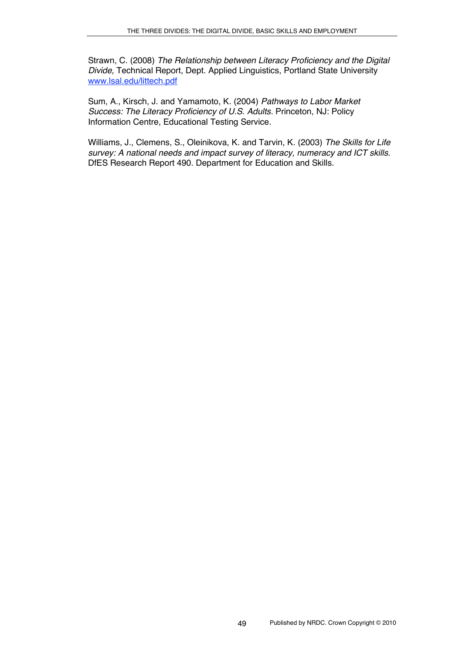Strawn, C. (2008) *The Relationship between Literacy Proficiency and the Digital Divide,* Technical Report, Dept. Applied Linguistics, Portland State University www.lsal.edu/littech.pdf

Sum, A., Kirsch, J. and Yamamoto, K. (2004) *Pathways to Labor Market Success: The Literacy Proficiency of U.S. Adults.* Princeton, NJ: Policy Information Centre, Educational Testing Service.

Williams, J., Clemens, S., Oleinikova, K. and Tarvin, K. (2003) *The Skills for Life survey: A national needs and impact survey of literacy, numeracy and ICT skills*. DfES Research Report 490. Department for Education and Skills.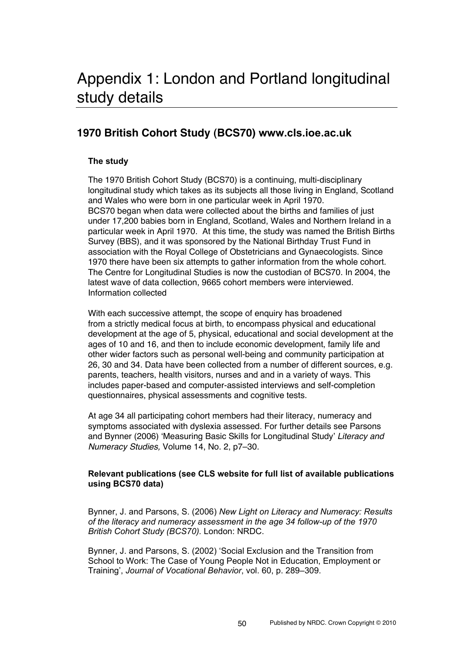# Appendix 1: London and Portland longitudinal study details

# **1970 British Cohort Study (BCS70) www.cls.ioe.ac.uk**

## **The study**

The 1970 British Cohort Study (BCS70) is a continuing, multi-disciplinary longitudinal study which takes as its subjects all those living in England, Scotland and Wales who were born in one particular week in April 1970. BCS70 began when data were collected about the births and families of just under 17,200 babies born in England, Scotland, Wales and Northern Ireland in a particular week in April 1970. At this time, the study was named the British Births Survey (BBS), and it was sponsored by the National Birthday Trust Fund in association with the Royal College of Obstetricians and Gynaecologists. Since 1970 there have been six attempts to gather information from the whole cohort. The Centre for Longitudinal Studies is now the custodian of BCS70. In 2004, the latest wave of data collection, 9665 cohort members were interviewed. Information collected

With each successive attempt, the scope of enquiry has broadened from a strictly medical focus at birth, to encompass physical and educational development at the age of 5, physical, educational and social development at the ages of 10 and 16, and then to include economic development, family life and other wider factors such as personal well-being and community participation at 26, 30 and 34. Data have been collected from a number of different sources, e.g. parents, teachers, health visitors, nurses and and in a variety of ways. This includes paper-based and computer-assisted interviews and self-completion questionnaires, physical assessments and cognitive tests.

At age 34 all participating cohort members had their literacy, numeracy and symptoms associated with dyslexia assessed. For further details see Parsons and Bynner (2006) ʻMeasuring Basic Skills for Longitudinal Study' *Literacy and Numeracy Studies,* Volume 14, No. 2, p7–30.

## **Relevant publications (see CLS website for full list of available publications using BCS70 data)**

Bynner, J. and Parsons, S. (2006) *New Light on Literacy and Numeracy: Results of the literacy and numeracy assessment in the age 34 follow-up of the 1970 British Cohort Study (BCS70).* London: NRDC.

Bynner, J. and Parsons, S. (2002) 'Social Exclusion and the Transition from School to Work: The Case of Young People Not in Education, Employment or Training', *Journal of Vocational Behavior*, vol. 60, p. 289–309.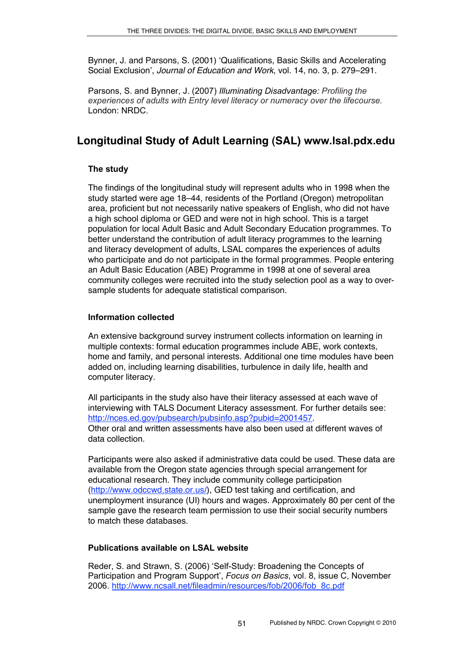Bynner, J. and Parsons, S. (2001) ʻQualifications, Basic Skills and Accelerating Social Exclusion', *Journal of Education and Work*, vol. 14, no. 3, p. 279–291.

Parsons, S. and Bynner, J. (2007) *Illuminating Disadvantage: Profiling the experiences of adults with Entry level literacy or numeracy over the lifecourse.* London: NRDC.

# **Longitudinal Study of Adult Learning (SAL) www.lsal.pdx.edu**

## **The study**

The findings of the longitudinal study will represent adults who in 1998 when the study started were age 18–44, residents of the Portland (Oregon) metropolitan area, proficient but not necessarily native speakers of English, who did not have a high school diploma or GED and were not in high school. This is a target population for local Adult Basic and Adult Secondary Education programmes. To better understand the contribution of adult literacy programmes to the learning and literacy development of adults, LSAL compares the experiences of adults who participate and do not participate in the formal programmes. People entering an Adult Basic Education (ABE) Programme in 1998 at one of several area community colleges were recruited into the study selection pool as a way to oversample students for adequate statistical comparison.

## **Information collected**

An extensive background survey instrument collects information on learning in multiple contexts: formal education programmes include ABE, work contexts, home and family, and personal interests. Additional one time modules have been added on, including learning disabilities, turbulence in daily life, health and computer literacy.

All participants in the study also have their literacy assessed at each wave of interviewing with TALS Document Literacy assessment. For further details see: http://nces.ed.gov/pubsearch/pubsinfo.asp?pubid=2001457. Other oral and written assessments have also been used at different waves of data collection.

Participants were also asked if administrative data could be used. These data are available from the Oregon state agencies through special arrangement for educational research. They include community college participation (http://www.odccwd.state.or.us/), GED test taking and certification, and unemployment insurance (UI) hours and wages. Approximately 80 per cent of the sample gave the research team permission to use their social security numbers to match these databases.

## **Publications available on LSAL website**

Reder, S. and Strawn, S. (2006) 'Self-Study: Broadening the Concepts of Participation and Program Support', *Focus on Basics*, vol. 8, issue C, November 2006. http://www.ncsall.net/fileadmin/resources/fob/2006/fob\_8c.pdf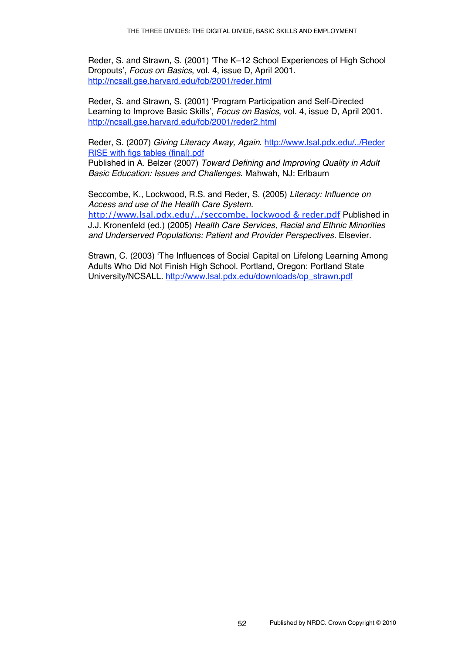Reder, S. and Strawn, S. (2001) ʻThe K–12 School Experiences of High School Dropouts', *Focus on Basics*, vol. 4, issue D, April 2001. http://ncsall.gse.harvard.edu/fob/2001/reder.html

Reder, S. and Strawn, S. (2001) ʻProgram Participation and Self-Directed Learning to Improve Basic Skills', *Focus on Basics*, vol. 4, issue D, April 2001. http://ncsall.gse.harvard.edu/fob/2001/reder2.html

Reder, S. (2007) *Giving Literacy Away, Again*. http://www.lsal.pdx.edu/../Reder RISE with figs tables (final).pdf

Published in A. Belzer (2007) *Toward Defining and Improving Quality in Adult Basic Education: Issues and Challenges*. Mahwah, NJ: Erlbaum

Seccombe, K., Lockwood, R.S. and Reder, S. (2005) *Literacy: Influence on Access and use of the Health Care System.*

http://www.lsal.pdx.edu/../seccombe, lockwood & reder.pdf Published in J.J. Kronenfeld (ed.) (2005) *Health Care Services, Racial and Ethnic Minorities and Underserved Populations: Patient and Provider Perspectives.* Elsevier.

Strawn, C. (2003) ʻThe Influences of Social Capital on Lifelong Learning Among Adults Who Did Not Finish High School. Portland, Oregon: Portland State University/NCSALL. http://www.lsal.pdx.edu/downloads/op\_strawn.pdf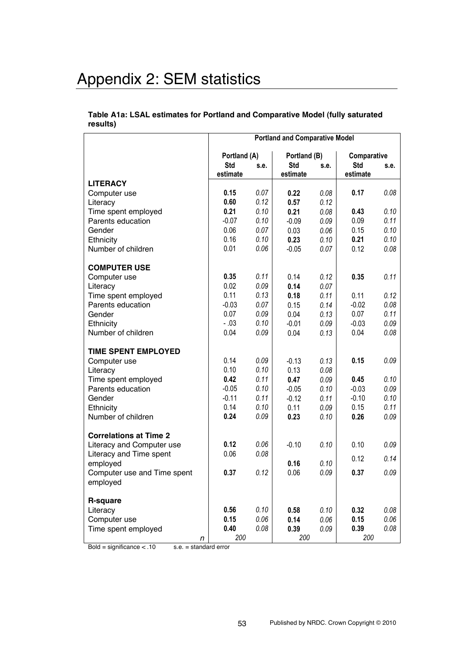# Appendix 2: SEM statistics

#### **Table A1a: LSAL estimates for Portland and Comparative Model (fully saturated results)**

|                                          | <b>Portland and Comparative Model</b> |              |              |              |             |          |
|------------------------------------------|---------------------------------------|--------------|--------------|--------------|-------------|----------|
|                                          | Portland (A)                          |              | Portland (B) |              | Comparative |          |
|                                          | <b>Std</b>                            | s.e.         | <b>Std</b>   | s.e.         | <b>Std</b>  | s.e.     |
|                                          | estimate                              |              | estimate     |              | estimate    |          |
| <b>LITERACY</b>                          |                                       |              |              |              |             |          |
| Computer use                             | 0.15<br>0.60                          | 0.07<br>0.12 | 0.22         | 0.08         | 0.17        | 0.08     |
| Literacy                                 | 0.21                                  | 0.10         | 0.57<br>0.21 | 0.12<br>0.08 | 0.43        | 0.10     |
| Time spent employed<br>Parents education | $-0.07$                               | 0.10         | $-0.09$      | 0.09         | 0.09        | 0.11     |
| Gender                                   | 0.06                                  | 0.07         | 0.03         | 0.06         | 0.15        | 0.10     |
|                                          | 0.16                                  | 0.10         | 0.23         | 0.10         | 0.21        | 0.10     |
| Ethnicity<br>Number of children          | 0.01                                  | 0.06         | $-0.05$      | 0.07         | 0.12        | 0.08     |
|                                          |                                       |              |              |              |             |          |
| <b>COMPUTER USE</b>                      |                                       |              |              |              |             |          |
| Computer use                             | 0.35                                  | 0.11         | 0.14         | 0.12         | 0.35        | 0.11     |
| Literacy                                 | 0.02                                  | 0.09         | 0.14         | 0.07         |             |          |
| Time spent employed                      | 0.11                                  | 0.13         | 0.18         | 0.11         | 0.11        | 0.12     |
| Parents education                        | $-0.03$                               | 0.07         | 0.15         | 0.14         | $-0.02$     | 0.08     |
| Gender                                   | 0.07                                  | 0.09         | 0.04         | 0.13         | 0.07        | 0.11     |
| Ethnicity                                | $-.03$                                | 0.10         | $-0.01$      | 0.09         | $-0.03$     | 0.09     |
| Number of children                       | 0.04                                  | 0.09         | 0.04         | 0.13         | 0.04        | 0.08     |
| <b>TIME SPENT EMPLOYED</b>               |                                       |              |              |              |             |          |
| Computer use                             | 0.14                                  | 0.09         | $-0.13$      | 0.13         | 0.15        | 0.09     |
| Literacy                                 | 0.10                                  | 0.10         | 0.13         | 0.08         |             |          |
| Time spent employed                      | 0.42                                  | 0.11         | 0.47         | 0.09         | 0.45        | 0.10     |
| Parents education                        | $-0.05$                               | 0.10         | $-0.05$      | 0.10         | $-0.03$     | 0.09     |
| Gender                                   | $-0.11$                               | 0.11         | $-0.12$      | 0.11         | $-0.10$     | 0.10     |
| Ethnicity                                | 0.14                                  | 0.10         | 0.11         | 0.09         | 0.15        | 0.11     |
| Number of children                       | 0.24                                  | 0.09         | 0.23         | 0.10         | 0.26        | 0.09     |
|                                          |                                       |              |              |              |             |          |
| <b>Correlations at Time 2</b>            |                                       |              |              |              |             |          |
| Literacy and Computer use                | 0.12                                  | 0.06         | $-0.10$      | 0.10         | 0.10        | $0.09\,$ |
| Literacy and Time spent                  | 0.06                                  | 0.08         |              |              | 0.12        | 0.14     |
| employed                                 |                                       |              | 0.16         | 0.10         |             |          |
| Computer use and Time spent              | 0.37                                  | 0.12         | 0.06         | 0.09         | 0.37        | 0.09     |
| employed                                 |                                       |              |              |              |             |          |
| R-square                                 |                                       |              |              |              |             |          |
| Literacy                                 | 0.56                                  | 0.10         | 0.58         | 0.10         | 0.32        | 0.08     |
| Computer use                             | 0.15                                  | 0.06         | 0.14         | 0.06         | 0.15        | 0.06     |
| Time spent employed                      | 0.40                                  | 0.08         | 0.39         | 0.09         | 0.39        | 0.08     |
| n                                        | 200                                   |              | 200          |              | 200         |          |

 $Bold = significance < .10$  s.e. = standard error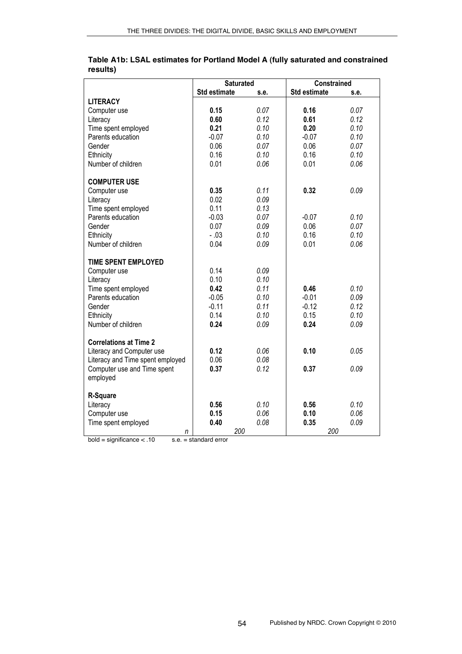|                                  |              | <b>Saturated</b> | <b>Constrained</b>  |      |
|----------------------------------|--------------|------------------|---------------------|------|
|                                  | Std estimate | s.e.             | <b>Std estimate</b> | s.e. |
| <b>LITERACY</b>                  |              |                  |                     |      |
| Computer use                     | 0.15         | 0.07             | 0.16                | 0.07 |
| Literacy                         | 0.60         | 0.12             | 0.61                | 0.12 |
| Time spent employed              | 0.21         | 0.10             | 0.20                | 0.10 |
| Parents education                | $-0.07$      | 0.10             | $-0.07$             | 0.10 |
| Gender                           | 0.06         | 0.07             | 0.06                | 0.07 |
| Ethnicity                        | 0.16         | 0.10             | 0.16                | 0.10 |
| Number of children               | 0.01         | 0.06             | 0.01                | 0.06 |
| <b>COMPUTER USE</b>              |              |                  |                     |      |
| Computer use                     | 0.35         | 0.11             | 0.32                | 0.09 |
| Literacy                         | 0.02         | 0.09             |                     |      |
| Time spent employed              | 0.11         | 0.13             |                     |      |
| Parents education                | $-0.03$      | 0.07             | $-0.07$             | 0.10 |
| Gender                           | 0.07         | 0.09             | 0.06                | 0.07 |
| Ethnicity                        | $-.03$       | 0.10             | 0.16                | 0.10 |
| Number of children               | 0.04         | 0.09             | 0.01                | 0.06 |
| <b>TIME SPENT EMPLOYED</b>       |              |                  |                     |      |
| Computer use                     | 0.14         | 0.09             |                     |      |
| Literacy                         | 0.10         | 0.10             |                     |      |
| Time spent employed              | 0.42         | 0.11             | 0.46                | 0.10 |
| Parents education                | $-0.05$      | 0.10             | $-0.01$             | 0.09 |
| Gender                           | $-0.11$      | 0.11             | $-0.12$             | 0.12 |
| Ethnicity                        | 0.14         | 0.10             | 0.15                | 0.10 |
| Number of children               | 0.24         | 0.09             | 0.24                | 0.09 |
| <b>Correlations at Time 2</b>    |              |                  |                     |      |
| Literacy and Computer use        | 0.12         | 0.06             | 0.10                | 0.05 |
| Literacy and Time spent employed | 0.06         | 0.08             |                     |      |
| Computer use and Time spent      | 0.37         | 0.12             | 0.37                | 0.09 |
| employed                         |              |                  |                     |      |
| R-Square                         |              |                  |                     |      |
| Literacy                         | 0.56         | 0.10             | 0.56                | 0.10 |
| Computer use                     | 0.15         | 0.06             | 0.10                | 0.06 |
| Time spent employed              | 0.40         | 0.08             | 0.35                | 0.09 |
| n                                |              | 200              | 200                 |      |

### **Table A1b: LSAL estimates for Portland Model A (fully saturated and constrained results)**

 $bold = significance < .10$  s.e. = standard error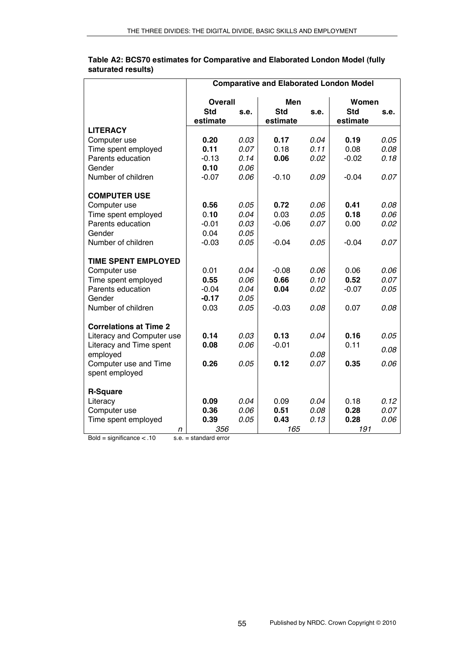|                                                            | <b>Comparative and Elaborated London Model</b> |      |            |      |            |      |
|------------------------------------------------------------|------------------------------------------------|------|------------|------|------------|------|
|                                                            | <b>Overall</b>                                 |      | Men        |      | Women      |      |
|                                                            | <b>Std</b>                                     | S.E. | <b>Std</b> | s.e. | <b>Std</b> | s.e. |
|                                                            | estimate                                       |      | estimate   |      | estimate   |      |
| <b>LITERACY</b>                                            |                                                |      |            |      |            |      |
| Computer use                                               | 0.20                                           | 0.03 | 0.17       | 0.04 | 0.19       | 0.05 |
| Time spent employed                                        | 0.11                                           | 0.07 | 0.18       | 0.11 | 0.08       | 0.08 |
| Parents education                                          | $-0.13$                                        | 0.14 | 0.06       | 0.02 | $-0.02$    | 0.18 |
| Gender                                                     | 0.10                                           | 0.06 |            |      |            |      |
| Number of children                                         | $-0.07$                                        | 0.06 | $-0.10$    | 0.09 | $-0.04$    | 0.07 |
| <b>COMPUTER USE</b>                                        |                                                |      |            |      |            |      |
| Computer use                                               | 0.56                                           | 0.05 | 0.72       | 0.06 | 0.41       | 0.08 |
| Time spent employed                                        | 0.10                                           | 0.04 | 0.03       | 0.05 | 0.18       | 0.06 |
| Parents education                                          | $-0.01$                                        | 0.03 | $-0.06$    | 0.07 | 0.00       | 0.02 |
| Gender                                                     | 0.04                                           | 0.05 |            |      |            |      |
| Number of children                                         | $-0.03$                                        | 0.05 | $-0.04$    | 0.05 | $-0.04$    | 0.07 |
| <b>TIME SPENT EMPLOYED</b>                                 |                                                |      |            |      |            |      |
| Computer use                                               | 0.01                                           | 0.04 | $-0.08$    | 0.06 | 0.06       | 0.06 |
| Time spent employed                                        | 0.55                                           | 0.06 | 0.66       | 0.10 | 0.52       | 0.07 |
| Parents education                                          | $-0.04$                                        | 0.04 | 0.04       | 0.02 | $-0.07$    | 0.05 |
| Gender                                                     | $-0.17$                                        | 0.05 |            |      |            |      |
| Number of children                                         | 0.03                                           | 0.05 | $-0.03$    | 0.08 | 0.07       | 0.08 |
|                                                            |                                                |      |            |      |            |      |
| <b>Correlations at Time 2</b><br>Literacy and Computer use | 0.14                                           | 0.03 | 0.13       | 0.04 | 0.16       | 0.05 |
| Literacy and Time spent                                    | 0.08                                           | 0.06 | $-0.01$    |      | 0.11       |      |
| employed                                                   |                                                |      |            | 0.08 |            | 0.08 |
| Computer use and Time                                      | 0.26                                           | 0.05 | 0.12       | 0.07 | 0.35       | 0.06 |
| spent employed                                             |                                                |      |            |      |            |      |
|                                                            |                                                |      |            |      |            |      |
| <b>R-Square</b>                                            |                                                |      |            |      |            |      |
| Literacy                                                   | 0.09                                           | 0.04 | 0.09       | 0.04 | 0.18       | 0.12 |
| Computer use                                               | 0.36                                           | 0.06 | 0.51       | 0.08 | 0.28       | 0.07 |
| Time spent employed                                        | 0.39                                           | 0.05 | 0.43       | 0.13 | 0.28       | 0.06 |
| n                                                          | 356                                            |      | 165        |      | 191        |      |

**Table A2: BCS70 estimates for Comparative and Elaborated London Model (fully saturated results)**

 $Bold = significance < .10$  s.e. = standard error